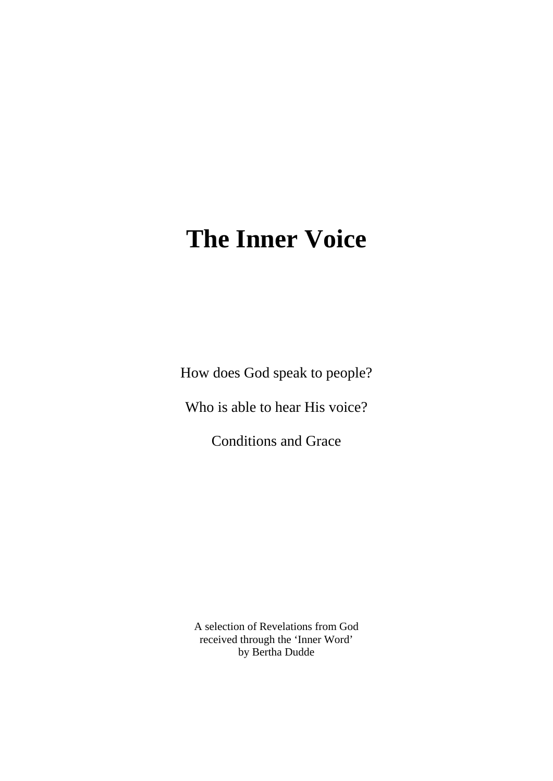# **The Inner Voice**

How does God speak to people?

Who is able to hear His voice?

Conditions and Grace

A selection of Revelations from God received through the 'Inner Word' by Bertha Dudde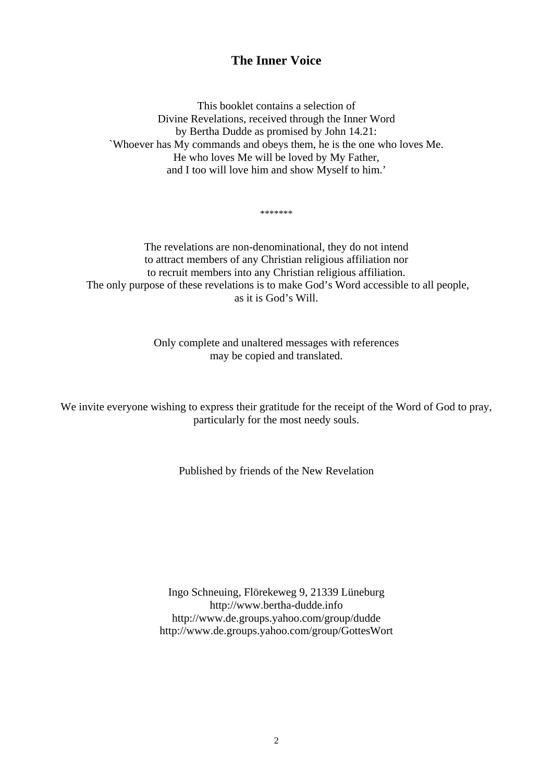# **The Inner Voice**

This booklet contains a selection of Divine Revelations, received through the Inner Word by Bertha Dudde as promised by John 14.21: `Whoever has My commands and obeys them, he is the one who loves Me. He who loves Me will be loved by My Father, and I too will love him and show Myself to him.'

\*\*\*\*\*\*\*

The revelations are non-denominational, they do not intend to attract members of any Christian religious affiliation nor to recruit members into any Christian religious affiliation. The only purpose of these revelations is to make God's Word accessible to all people, as it is God's Will.

> Only complete and unaltered messages with references may be copied and translated.

We invite everyone wishing to express their gratitude for the receipt of the Word of God to pray, particularly for the most needy souls.

Published by friends of the New Revelation

Ingo Schneuing, Flörekeweg 9, 21339 Lüneburg [http://www.bertha-dudde.info](http://www.bertha-dudde.info/)  <http://www.de.groups.yahoo.com/group/dudde> <http://www.de.groups.yahoo.com/group/GottesWort>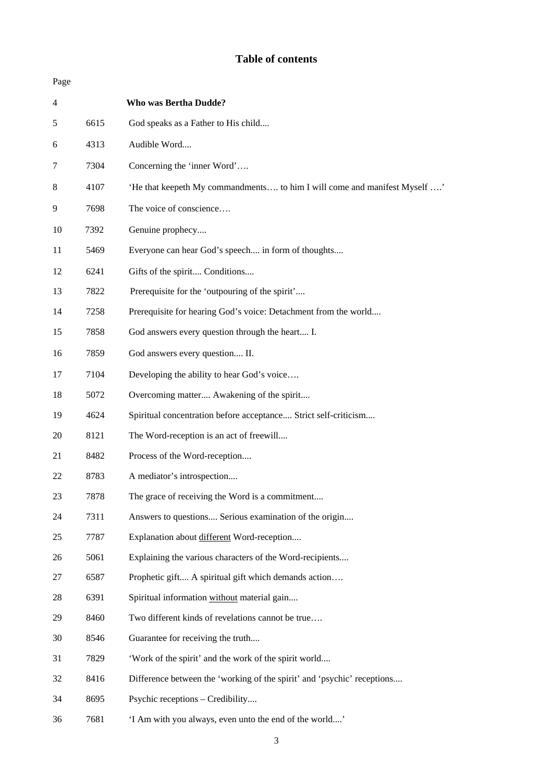# **Table of contents**

| Page           |      |                                                                           |
|----------------|------|---------------------------------------------------------------------------|
| $\overline{4}$ |      | <b>Who was Bertha Dudde?</b>                                              |
| 5              | 6615 | God speaks as a Father to His child                                       |
| 6              | 4313 | Audible Word                                                              |
| 7              | 7304 | Concerning the 'inner Word'                                               |
| 8              | 4107 | 'He that keepeth My commandments to him I will come and manifest Myself ' |
| 9              | 7698 | The voice of conscience                                                   |
| 10             | 7392 | Genuine prophecy                                                          |
| 11             | 5469 | Everyone can hear God's speech in form of thoughts                        |
| 12             | 6241 | Gifts of the spirit Conditions                                            |
| 13             | 7822 | Prerequisite for the 'outpouring of the spirit'                           |
| 14             | 7258 | Prerequisite for hearing God's voice: Detachment from the world           |
| 15             | 7858 | God answers every question through the heart I.                           |
| 16             | 7859 | God answers every question II.                                            |
| 17             | 7104 | Developing the ability to hear God's voice                                |
| 18             | 5072 | Overcoming matter Awakening of the spirit                                 |
| 19             | 4624 | Spiritual concentration before acceptance Strict self-criticism           |
| 20             | 8121 | The Word-reception is an act of freewill                                  |
| 21             | 8482 | Process of the Word-reception                                             |
| 22             | 8783 | A mediator's introspection                                                |
| 23             | 7878 | The grace of receiving the Word is a commitment                           |
| 24             | 7311 | Answers to questions Serious examination of the origin                    |
| 25             | 7787 | Explanation about different Word-reception                                |
| 26             | 5061 | Explaining the various characters of the Word-recipients                  |
| 27             | 6587 | Prophetic gift A spiritual gift which demands action                      |
| 28             | 6391 | Spiritual information without material gain                               |
| 29             | 8460 | Two different kinds of revelations cannot be true                         |
| 30             | 8546 | Guarantee for receiving the truth                                         |
| 31             | 7829 | 'Work of the spirit' and the work of the spirit world                     |
| 32             | 8416 | Difference between the 'working of the spirit' and 'psychic' receptions   |
| 34             | 8695 | Psychic receptions - Credibility                                          |
| 36             | 7681 | 'I Am with you always, even unto the end of the world'                    |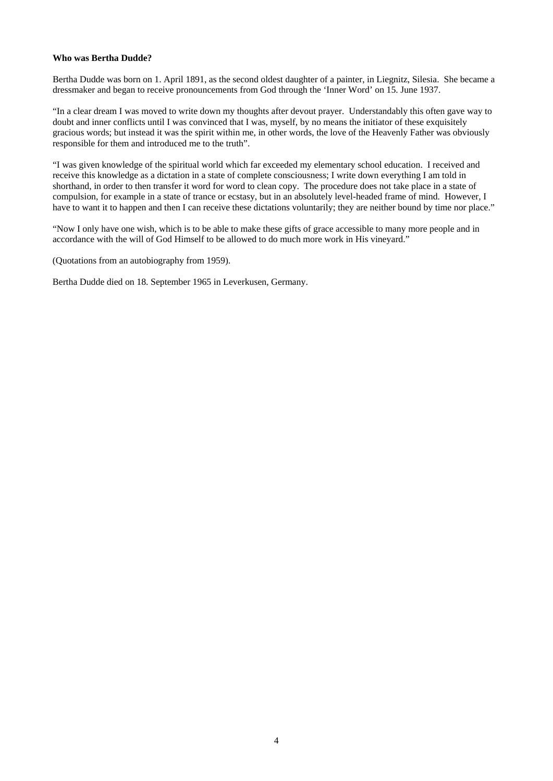# **Who was Bertha Dudde?**

Bertha Dudde was born on 1. April 1891, as the second oldest daughter of a painter, in Liegnitz, Silesia. She became a dressmaker and began to receive pronouncements from God through the 'Inner Word' on 15. June 1937.

"In a clear dream I was moved to write down my thoughts after devout prayer. Understandably this often gave way to doubt and inner conflicts until I was convinced that I was, myself, by no means the initiator of these exquisitely gracious words; but instead it was the spirit within me, in other words, the love of the Heavenly Father was obviously responsible for them and introduced me to the truth".

"I was given knowledge of the spiritual world which far exceeded my elementary school education. I received and receive this knowledge as a dictation in a state of complete consciousness; I write down everything I am told in shorthand, in order to then transfer it word for word to clean copy. The procedure does not take place in a state of compulsion, for example in a state of trance or ecstasy, but in an absolutely level-headed frame of mind. However, I have to want it to happen and then I can receive these dictations voluntarily; they are neither bound by time nor place."

"Now I only have one wish, which is to be able to make these gifts of grace accessible to many more people and in accordance with the will of God Himself to be allowed to do much more work in His vineyard."

(Quotations from an autobiography from 1959).

Bertha Dudde died on 18. September 1965 in Leverkusen, Germany.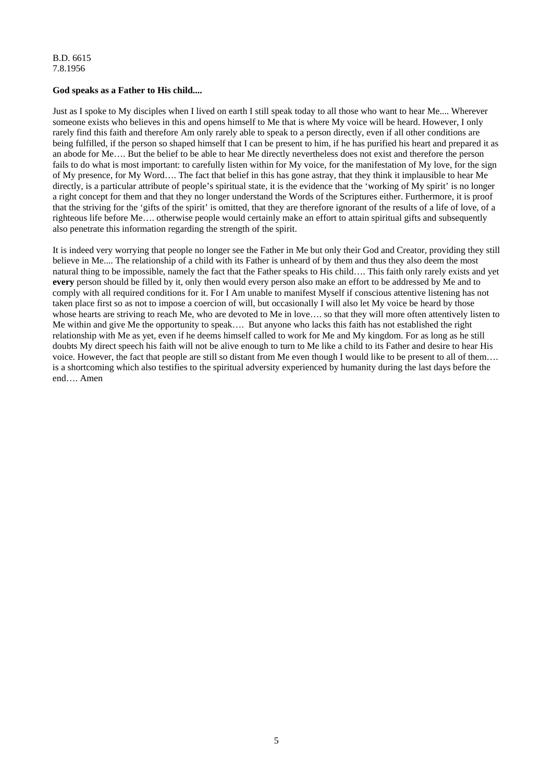# **God speaks as a Father to His child....**

Just as I spoke to My disciples when I lived on earth I still speak today to all those who want to hear Me.... Wherever someone exists who believes in this and opens himself to Me that is where My voice will be heard. However, I only rarely find this faith and therefore Am only rarely able to speak to a person directly, even if all other conditions are being fulfilled, if the person so shaped himself that I can be present to him, if he has purified his heart and prepared it as an abode for Me…. But the belief to be able to hear Me directly nevertheless does not exist and therefore the person fails to do what is most important: to carefully listen within for My voice, for the manifestation of My love, for the sign of My presence, for My Word…. The fact that belief in this has gone astray, that they think it implausible to hear Me directly, is a particular attribute of people's spiritual state, it is the evidence that the 'working of My spirit' is no longer a right concept for them and that they no longer understand the Words of the Scriptures either. Furthermore, it is proof that the striving for the 'gifts of the spirit' is omitted, that they are therefore ignorant of the results of a life of love, of a righteous life before Me…. otherwise people would certainly make an effort to attain spiritual gifts and subsequently also penetrate this information regarding the strength of the spirit.

It is indeed very worrying that people no longer see the Father in Me but only their God and Creator, providing they still believe in Me.... The relationship of a child with its Father is unheard of by them and thus they also deem the most natural thing to be impossible, namely the fact that the Father speaks to His child…. This faith only rarely exists and yet **every** person should be filled by it, only then would every person also make an effort to be addressed by Me and to comply with all required conditions for it. For I Am unable to manifest Myself if conscious attentive listening has not taken place first so as not to impose a coercion of will, but occasionally I will also let My voice be heard by those whose hearts are striving to reach Me, who are devoted to Me in love.... so that they will more often attentively listen to Me within and give Me the opportunity to speak…. But anyone who lacks this faith has not established the right relationship with Me as yet, even if he deems himself called to work for Me and My kingdom. For as long as he still doubts My direct speech his faith will not be alive enough to turn to Me like a child to its Father and desire to hear His voice. However, the fact that people are still so distant from Me even though I would like to be present to all of them.... is a shortcoming which also testifies to the spiritual adversity experienced by humanity during the last days before the end…. Amen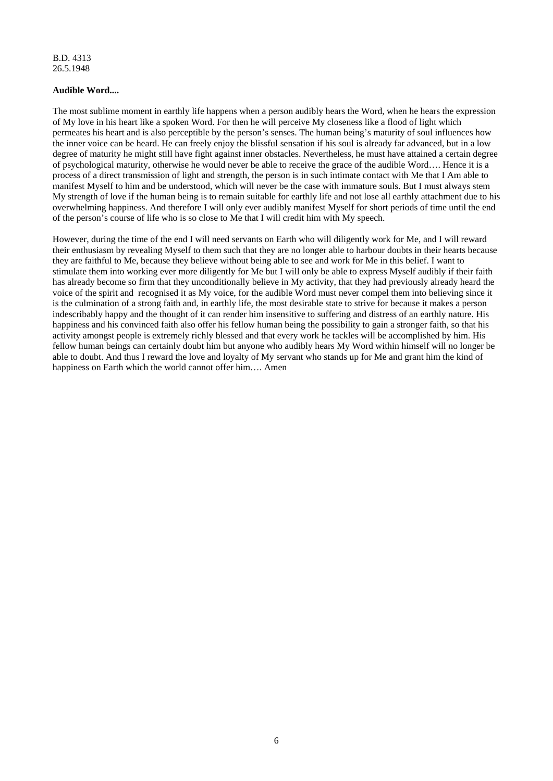#### **Audible Word....**

The most sublime moment in earthly life happens when a person audibly hears the Word, when he hears the expression of My love in his heart like a spoken Word. For then he will perceive My closeness like a flood of light which permeates his heart and is also perceptible by the person's senses. The human being's maturity of soul influences how the inner voice can be heard. He can freely enjoy the blissful sensation if his soul is already far advanced, but in a low degree of maturity he might still have fight against inner obstacles. Nevertheless, he must have attained a certain degree of psychological maturity, otherwise he would never be able to receive the grace of the audible Word…. Hence it is a process of a direct transmission of light and strength, the person is in such intimate contact with Me that I Am able to manifest Myself to him and be understood, which will never be the case with immature souls. But I must always stem My strength of love if the human being is to remain suitable for earthly life and not lose all earthly attachment due to his overwhelming happiness. And therefore I will only ever audibly manifest Myself for short periods of time until the end of the person's course of life who is so close to Me that I will credit him with My speech.

However, during the time of the end I will need servants on Earth who will diligently work for Me, and I will reward their enthusiasm by revealing Myself to them such that they are no longer able to harbour doubts in their hearts because they are faithful to Me, because they believe without being able to see and work for Me in this belief. I want to stimulate them into working ever more diligently for Me but I will only be able to express Myself audibly if their faith has already become so firm that they unconditionally believe in My activity, that they had previously already heard the voice of the spirit and recognised it as My voice, for the audible Word must never compel them into believing since it is the culmination of a strong faith and, in earthly life, the most desirable state to strive for because it makes a person indescribably happy and the thought of it can render him insensitive to suffering and distress of an earthly nature. His happiness and his convinced faith also offer his fellow human being the possibility to gain a stronger faith, so that his activity amongst people is extremely richly blessed and that every work he tackles will be accomplished by him. His fellow human beings can certainly doubt him but anyone who audibly hears My Word within himself will no longer be able to doubt. And thus I reward the love and loyalty of My servant who stands up for Me and grant him the kind of happiness on Earth which the world cannot offer him…. Amen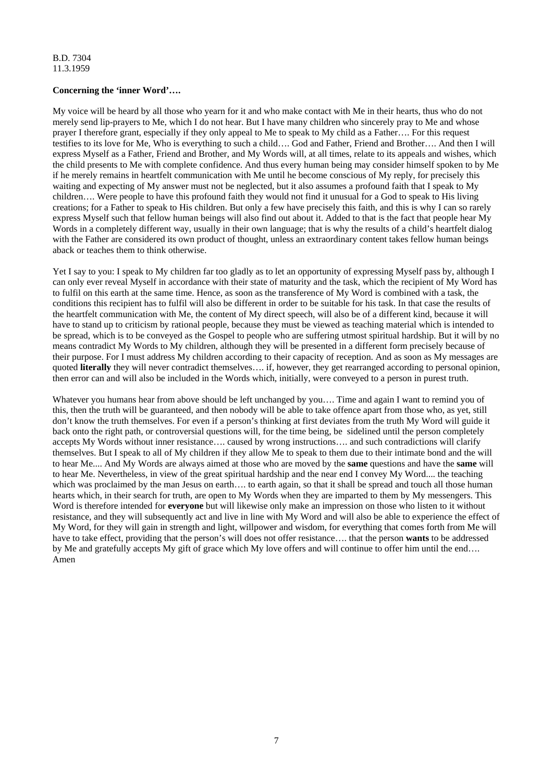# **Concerning the 'inner Word'….**

My voice will be heard by all those who yearn for it and who make contact with Me in their hearts, thus who do not merely send lip-prayers to Me, which I do not hear. But I have many children who sincerely pray to Me and whose prayer I therefore grant, especially if they only appeal to Me to speak to My child as a Father…. For this request testifies to its love for Me, Who is everything to such a child…. God and Father, Friend and Brother…. And then I will express Myself as a Father, Friend and Brother, and My Words will, at all times, relate to its appeals and wishes, which the child presents to Me with complete confidence. And thus every human being may consider himself spoken to by Me if he merely remains in heartfelt communication with Me until he become conscious of My reply, for precisely this waiting and expecting of My answer must not be neglected, but it also assumes a profound faith that I speak to My children…. Were people to have this profound faith they would not find it unusual for a God to speak to His living creations; for a Father to speak to His children. But only a few have precisely this faith, and this is why I can so rarely express Myself such that fellow human beings will also find out about it. Added to that is the fact that people hear My Words in a completely different way, usually in their own language; that is why the results of a child's heartfelt dialog with the Father are considered its own product of thought, unless an extraordinary content takes fellow human beings aback or teaches them to think otherwise.

Yet I say to you: I speak to My children far too gladly as to let an opportunity of expressing Myself pass by, although I can only ever reveal Myself in accordance with their state of maturity and the task, which the recipient of My Word has to fulfil on this earth at the same time. Hence, as soon as the transference of My Word is combined with a task, the conditions this recipient has to fulfil will also be different in order to be suitable for his task. In that case the results of the heartfelt communication with Me, the content of My direct speech, will also be of a different kind, because it will have to stand up to criticism by rational people, because they must be viewed as teaching material which is intended to be spread, which is to be conveyed as the Gospel to people who are suffering utmost spiritual hardship. But it will by no means contradict My Words to My children, although they will be presented in a different form precisely because of their purpose. For I must address My children according to their capacity of reception. And as soon as My messages are quoted **literally** they will never contradict themselves…. if, however, they get rearranged according to personal opinion, then error can and will also be included in the Words which, initially, were conveyed to a person in purest truth.

Whatever you humans hear from above should be left unchanged by you.... Time and again I want to remind you of this, then the truth will be guaranteed, and then nobody will be able to take offence apart from those who, as yet, still don't know the truth themselves. For even if a person's thinking at first deviates from the truth My Word will guide it back onto the right path, or controversial questions will, for the time being, be sidelined until the person completely accepts My Words without inner resistance…. caused by wrong instructions…. and such contradictions will clarify themselves. But I speak to all of My children if they allow Me to speak to them due to their intimate bond and the will to hear Me.... And My Words are always aimed at those who are moved by the **same** questions and have the **same** will to hear Me. Nevertheless, in view of the great spiritual hardship and the near end I convey My Word.... the teaching which was proclaimed by the man Jesus on earth…. to earth again, so that it shall be spread and touch all those human hearts which, in their search for truth, are open to My Words when they are imparted to them by My messengers. This Word is therefore intended for **everyone** but will likewise only make an impression on those who listen to it without resistance, and they will subsequently act and live in line with My Word and will also be able to experience the effect of My Word, for they will gain in strength and light, willpower and wisdom, for everything that comes forth from Me will have to take effect, providing that the person's will does not offer resistance…. that the person **wants** to be addressed by Me and gratefully accepts My gift of grace which My love offers and will continue to offer him until the end…. Amen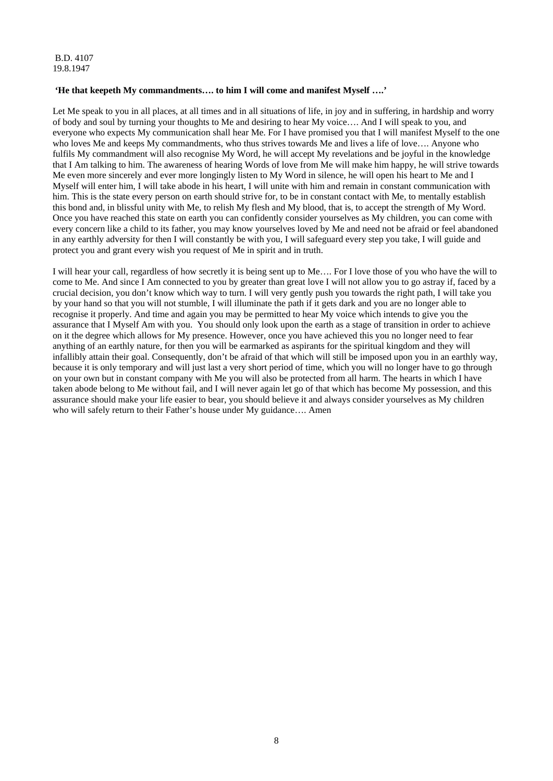B.D. 4107 19.8.1947

# **'He that keepeth My commandments…. to him I will come and manifest Myself ….'**

Let Me speak to you in all places, at all times and in all situations of life, in joy and in suffering, in hardship and worry of body and soul by turning your thoughts to Me and desiring to hear My voice…. And I will speak to you, and everyone who expects My communication shall hear Me. For I have promised you that I will manifest Myself to the one who loves Me and keeps My commandments, who thus strives towards Me and lives a life of love.... Anyone who fulfils My commandment will also recognise My Word, he will accept My revelations and be joyful in the knowledge that I Am talking to him. The awareness of hearing Words of love from Me will make him happy, he will strive towards Me even more sincerely and ever more longingly listen to My Word in silence, he will open his heart to Me and I Myself will enter him, I will take abode in his heart, I will unite with him and remain in constant communication with him. This is the state every person on earth should strive for, to be in constant contact with Me, to mentally establish this bond and, in blissful unity with Me, to relish My flesh and My blood, that is, to accept the strength of My Word. Once you have reached this state on earth you can confidently consider yourselves as My children, you can come with every concern like a child to its father, you may know yourselves loved by Me and need not be afraid or feel abandoned in any earthly adversity for then I will constantly be with you, I will safeguard every step you take, I will guide and protect you and grant every wish you request of Me in spirit and in truth.

I will hear your call, regardless of how secretly it is being sent up to Me…. For I love those of you who have the will to come to Me. And since I Am connected to you by greater than great love I will not allow you to go astray if, faced by a crucial decision, you don't know which way to turn. I will very gently push you towards the right path, I will take you by your hand so that you will not stumble, I will illuminate the path if it gets dark and you are no longer able to recognise it properly. And time and again you may be permitted to hear My voice which intends to give you the assurance that I Myself Am with you. You should only look upon the earth as a stage of transition in order to achieve on it the degree which allows for My presence. However, once you have achieved this you no longer need to fear anything of an earthly nature, for then you will be earmarked as aspirants for the spiritual kingdom and they will infallibly attain their goal. Consequently, don't be afraid of that which will still be imposed upon you in an earthly way, because it is only temporary and will just last a very short period of time, which you will no longer have to go through on your own but in constant company with Me you will also be protected from all harm. The hearts in which I have taken abode belong to Me without fail, and I will never again let go of that which has become My possession, and this assurance should make your life easier to bear, you should believe it and always consider yourselves as My children who will safely return to their Father's house under My guidance…. Amen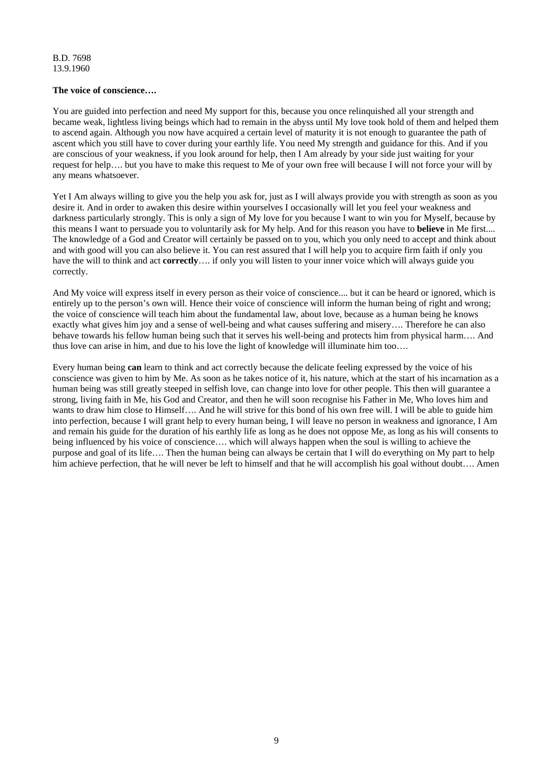#### **The voice of conscience….**

You are guided into perfection and need My support for this, because you once relinquished all your strength and became weak, lightless living beings which had to remain in the abyss until My love took hold of them and helped them to ascend again. Although you now have acquired a certain level of maturity it is not enough to guarantee the path of ascent which you still have to cover during your earthly life. You need My strength and guidance for this. And if you are conscious of your weakness, if you look around for help, then I Am already by your side just waiting for your request for help…. but you have to make this request to Me of your own free will because I will not force your will by any means whatsoever.

Yet I Am always willing to give you the help you ask for, just as I will always provide you with strength as soon as you desire it. And in order to awaken this desire within yourselves I occasionally will let you feel your weakness and darkness particularly strongly. This is only a sign of My love for you because I want to win you for Myself, because by this means I want to persuade you to voluntarily ask for My help. And for this reason you have to **believe** in Me first.... The knowledge of a God and Creator will certainly be passed on to you, which you only need to accept and think about and with good will you can also believe it. You can rest assured that I will help you to acquire firm faith if only you have the will to think and act **correctly**…. if only you will listen to your inner voice which will always guide you correctly.

And My voice will express itself in every person as their voice of conscience.... but it can be heard or ignored, which is entirely up to the person's own will. Hence their voice of conscience will inform the human being of right and wrong; the voice of conscience will teach him about the fundamental law, about love, because as a human being he knows exactly what gives him joy and a sense of well-being and what causes suffering and misery…. Therefore he can also behave towards his fellow human being such that it serves his well-being and protects him from physical harm…. And thus love can arise in him, and due to his love the light of knowledge will illuminate him too….

Every human being **can** learn to think and act correctly because the delicate feeling expressed by the voice of his conscience was given to him by Me. As soon as he takes notice of it, his nature, which at the start of his incarnation as a human being was still greatly steeped in selfish love, can change into love for other people. This then will guarantee a strong, living faith in Me, his God and Creator, and then he will soon recognise his Father in Me, Who loves him and wants to draw him close to Himself…. And he will strive for this bond of his own free will. I will be able to guide him into perfection, because I will grant help to every human being, I will leave no person in weakness and ignorance, I Am and remain his guide for the duration of his earthly life as long as he does not oppose Me, as long as his will consents to being influenced by his voice of conscience…. which will always happen when the soul is willing to achieve the purpose and goal of its life…. Then the human being can always be certain that I will do everything on My part to help him achieve perfection, that he will never be left to himself and that he will accomplish his goal without doubt.... Amen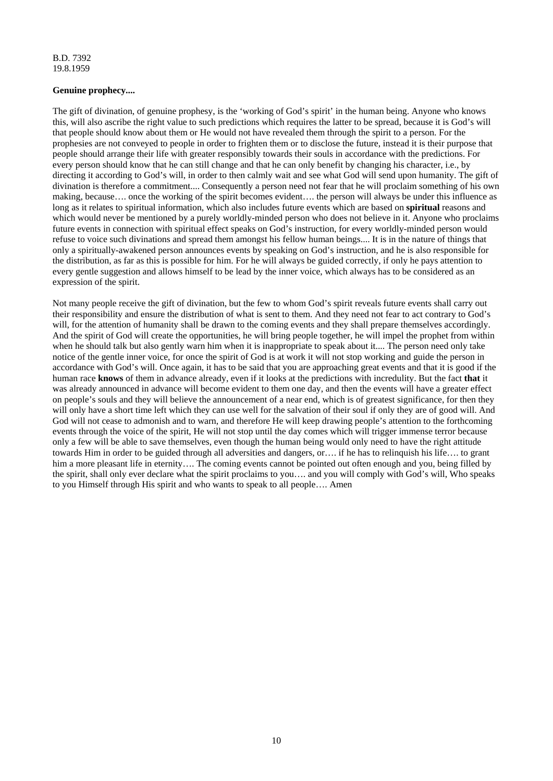# **Genuine prophecy....**

The gift of divination, of genuine prophesy, is the 'working of God's spirit' in the human being. Anyone who knows this, will also ascribe the right value to such predictions which requires the latter to be spread, because it is God's will that people should know about them or He would not have revealed them through the spirit to a person. For the prophesies are not conveyed to people in order to frighten them or to disclose the future, instead it is their purpose that people should arrange their life with greater responsibly towards their souls in accordance with the predictions. For every person should know that he can still change and that he can only benefit by changing his character, i.e., by directing it according to God's will, in order to then calmly wait and see what God will send upon humanity. The gift of divination is therefore a commitment.... Consequently a person need not fear that he will proclaim something of his own making, because…. once the working of the spirit becomes evident…. the person will always be under this influence as long as it relates to spiritual information, which also includes future events which are based on **spiritual** reasons and which would never be mentioned by a purely worldly-minded person who does not believe in it. Anyone who proclaims future events in connection with spiritual effect speaks on God's instruction, for every worldly-minded person would refuse to voice such divinations and spread them amongst his fellow human beings.... It is in the nature of things that only a spiritually-awakened person announces events by speaking on God's instruction, and he is also responsible for the distribution, as far as this is possible for him. For he will always be guided correctly, if only he pays attention to every gentle suggestion and allows himself to be lead by the inner voice, which always has to be considered as an expression of the spirit.

Not many people receive the gift of divination, but the few to whom God's spirit reveals future events shall carry out their responsibility and ensure the distribution of what is sent to them. And they need not fear to act contrary to God's will, for the attention of humanity shall be drawn to the coming events and they shall prepare themselves accordingly. And the spirit of God will create the opportunities, he will bring people together, he will impel the prophet from within when he should talk but also gently warn him when it is inappropriate to speak about it.... The person need only take notice of the gentle inner voice, for once the spirit of God is at work it will not stop working and guide the person in accordance with God's will. Once again, it has to be said that you are approaching great events and that it is good if the human race **knows** of them in advance already, even if it looks at the predictions with incredulity. But the fact **that** it was already announced in advance will become evident to them one day, and then the events will have a greater effect on people's souls and they will believe the announcement of a near end, which is of greatest significance, for then they will only have a short time left which they can use well for the salvation of their soul if only they are of good will. And God will not cease to admonish and to warn, and therefore He will keep drawing people's attention to the forthcoming events through the voice of the spirit, He will not stop until the day comes which will trigger immense terror because only a few will be able to save themselves, even though the human being would only need to have the right attitude towards Him in order to be guided through all adversities and dangers, or…. if he has to relinquish his life…. to grant him a more pleasant life in eternity…. The coming events cannot be pointed out often enough and you, being filled by the spirit, shall only ever declare what the spirit proclaims to you…. and you will comply with God's will, Who speaks to you Himself through His spirit and who wants to speak to all people…. Amen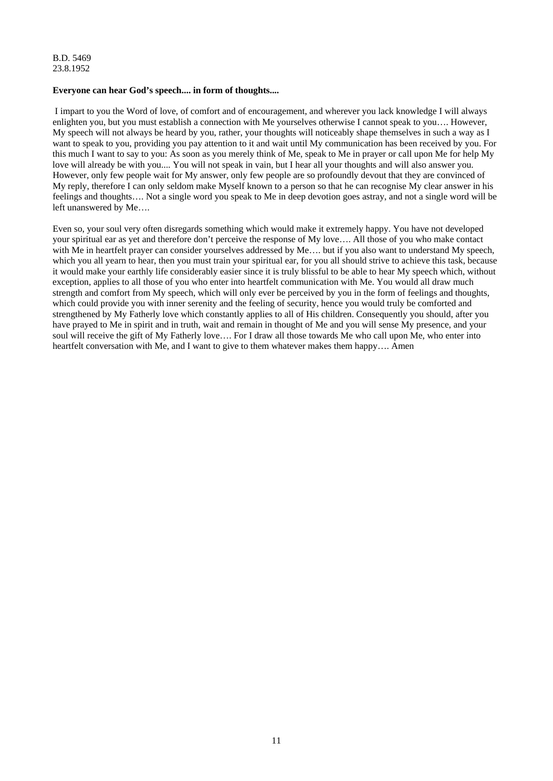# **Everyone can hear God's speech.... in form of thoughts....**

 I impart to you the Word of love, of comfort and of encouragement, and wherever you lack knowledge I will always enlighten you, but you must establish a connection with Me yourselves otherwise I cannot speak to you…. However, My speech will not always be heard by you, rather, your thoughts will noticeably shape themselves in such a way as I want to speak to you, providing you pay attention to it and wait until My communication has been received by you. For this much I want to say to you: As soon as you merely think of Me, speak to Me in prayer or call upon Me for help My love will already be with you.... You will not speak in vain, but I hear all your thoughts and will also answer you. However, only few people wait for My answer, only few people are so profoundly devout that they are convinced of My reply, therefore I can only seldom make Myself known to a person so that he can recognise My clear answer in his feelings and thoughts…. Not a single word you speak to Me in deep devotion goes astray, and not a single word will be left unanswered by Me….

Even so, your soul very often disregards something which would make it extremely happy. You have not developed your spiritual ear as yet and therefore don't perceive the response of My love…. All those of you who make contact with Me in heartfelt prayer can consider yourselves addressed by Me..., but if you also want to understand My speech, which you all yearn to hear, then you must train your spiritual ear, for you all should strive to achieve this task, because it would make your earthly life considerably easier since it is truly blissful to be able to hear My speech which, without exception, applies to all those of you who enter into heartfelt communication with Me. You would all draw much strength and comfort from My speech, which will only ever be perceived by you in the form of feelings and thoughts, which could provide you with inner serenity and the feeling of security, hence you would truly be comforted and strengthened by My Fatherly love which constantly applies to all of His children. Consequently you should, after you have prayed to Me in spirit and in truth, wait and remain in thought of Me and you will sense My presence, and your soul will receive the gift of My Fatherly love…. For I draw all those towards Me who call upon Me, who enter into heartfelt conversation with Me, and I want to give to them whatever makes them happy…. Amen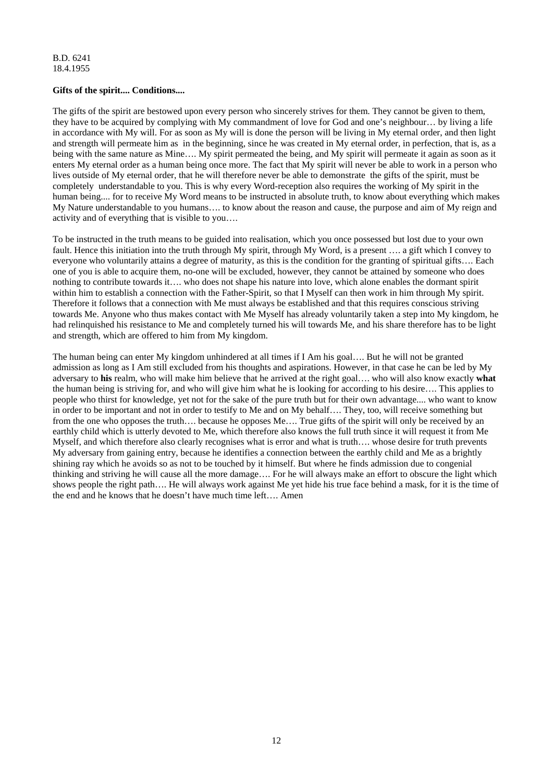# **Gifts of the spirit.... Conditions....**

The gifts of the spirit are bestowed upon every person who sincerely strives for them. They cannot be given to them, they have to be acquired by complying with My commandment of love for God and one's neighbour… by living a life in accordance with My will. For as soon as My will is done the person will be living in My eternal order, and then light and strength will permeate him as in the beginning, since he was created in My eternal order, in perfection, that is, as a being with the same nature as Mine.... My spirit permeated the being, and My spirit will permeate it again as soon as it enters My eternal order as a human being once more. The fact that My spirit will never be able to work in a person who lives outside of My eternal order, that he will therefore never be able to demonstrate the gifts of the spirit, must be completely understandable to you. This is why every Word-reception also requires the working of My spirit in the human being.... for to receive My Word means to be instructed in absolute truth, to know about everything which makes My Nature understandable to you humans…. to know about the reason and cause, the purpose and aim of My reign and activity and of everything that is visible to you….

To be instructed in the truth means to be guided into realisation, which you once possessed but lost due to your own fault. Hence this initiation into the truth through My spirit, through My Word, is a present …. a gift which I convey to everyone who voluntarily attains a degree of maturity, as this is the condition for the granting of spiritual gifts…. Each one of you is able to acquire them, no-one will be excluded, however, they cannot be attained by someone who does nothing to contribute towards it…. who does not shape his nature into love, which alone enables the dormant spirit within him to establish a connection with the Father-Spirit, so that I Myself can then work in him through My spirit. Therefore it follows that a connection with Me must always be established and that this requires conscious striving towards Me. Anyone who thus makes contact with Me Myself has already voluntarily taken a step into My kingdom, he had relinquished his resistance to Me and completely turned his will towards Me, and his share therefore has to be light and strength, which are offered to him from My kingdom.

The human being can enter My kingdom unhindered at all times if I Am his goal…. But he will not be granted admission as long as I Am still excluded from his thoughts and aspirations. However, in that case he can be led by My adversary to **his** realm, who will make him believe that he arrived at the right goal…. who will also know exactly **what** the human being is striving for, and who will give him what he is looking for according to his desire…. This applies to people who thirst for knowledge, yet not for the sake of the pure truth but for their own advantage.... who want to know in order to be important and not in order to testify to Me and on My behalf…. They, too, will receive something but from the one who opposes the truth…. because he opposes Me…. True gifts of the spirit will only be received by an earthly child which is utterly devoted to Me, which therefore also knows the full truth since it will request it from Me Myself, and which therefore also clearly recognises what is error and what is truth…. whose desire for truth prevents My adversary from gaining entry, because he identifies a connection between the earthly child and Me as a brightly shining ray which he avoids so as not to be touched by it himself. But where he finds admission due to congenial thinking and striving he will cause all the more damage…. For he will always make an effort to obscure the light which shows people the right path…. He will always work against Me yet hide his true face behind a mask, for it is the time of the end and he knows that he doesn't have much time left…. Amen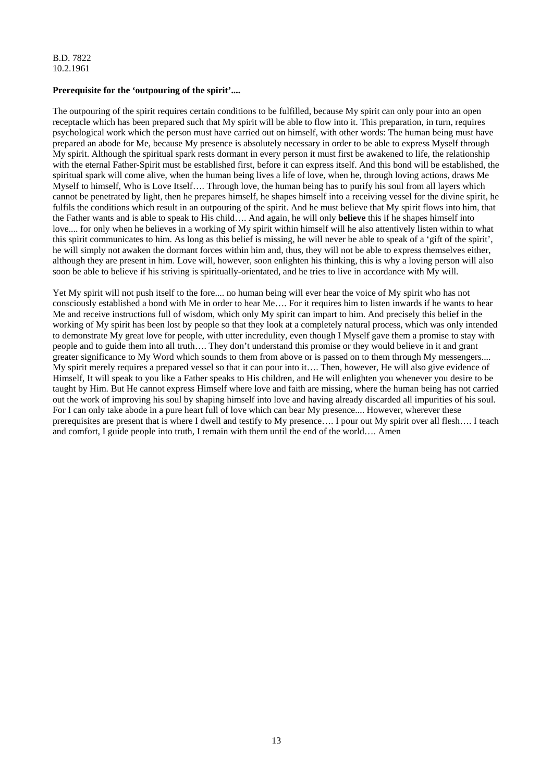# **Prerequisite for the 'outpouring of the spirit'....**

The outpouring of the spirit requires certain conditions to be fulfilled, because My spirit can only pour into an open receptacle which has been prepared such that My spirit will be able to flow into it. This preparation, in turn, requires psychological work which the person must have carried out on himself, with other words: The human being must have prepared an abode for Me, because My presence is absolutely necessary in order to be able to express Myself through My spirit. Although the spiritual spark rests dormant in every person it must first be awakened to life, the relationship with the eternal Father-Spirit must be established first, before it can express itself. And this bond will be established, the spiritual spark will come alive, when the human being lives a life of love, when he, through loving actions, draws Me Myself to himself, Who is Love Itself…. Through love, the human being has to purify his soul from all layers which cannot be penetrated by light, then he prepares himself, he shapes himself into a receiving vessel for the divine spirit, he fulfils the conditions which result in an outpouring of the spirit. And he must believe that My spirit flows into him, that the Father wants and is able to speak to His child…. And again, he will only **believe** this if he shapes himself into love.... for only when he believes in a working of My spirit within himself will he also attentively listen within to what this spirit communicates to him. As long as this belief is missing, he will never be able to speak of a 'gift of the spirit', he will simply not awaken the dormant forces within him and, thus, they will not be able to express themselves either, although they are present in him. Love will, however, soon enlighten his thinking, this is why a loving person will also soon be able to believe if his striving is spiritually-orientated, and he tries to live in accordance with My will.

Yet My spirit will not push itself to the fore.... no human being will ever hear the voice of My spirit who has not consciously established a bond with Me in order to hear Me…. For it requires him to listen inwards if he wants to hear Me and receive instructions full of wisdom, which only My spirit can impart to him. And precisely this belief in the working of My spirit has been lost by people so that they look at a completely natural process, which was only intended to demonstrate My great love for people, with utter incredulity, even though I Myself gave them a promise to stay with people and to guide them into all truth…. They don't understand this promise or they would believe in it and grant greater significance to My Word which sounds to them from above or is passed on to them through My messengers.... My spirit merely requires a prepared vessel so that it can pour into it…. Then, however, He will also give evidence of Himself, It will speak to you like a Father speaks to His children, and He will enlighten you whenever you desire to be taught by Him. But He cannot express Himself where love and faith are missing, where the human being has not carried out the work of improving his soul by shaping himself into love and having already discarded all impurities of his soul. For I can only take abode in a pure heart full of love which can bear My presence.... However, wherever these prerequisites are present that is where I dwell and testify to My presence…. I pour out My spirit over all flesh…. I teach and comfort, I guide people into truth, I remain with them until the end of the world…. Amen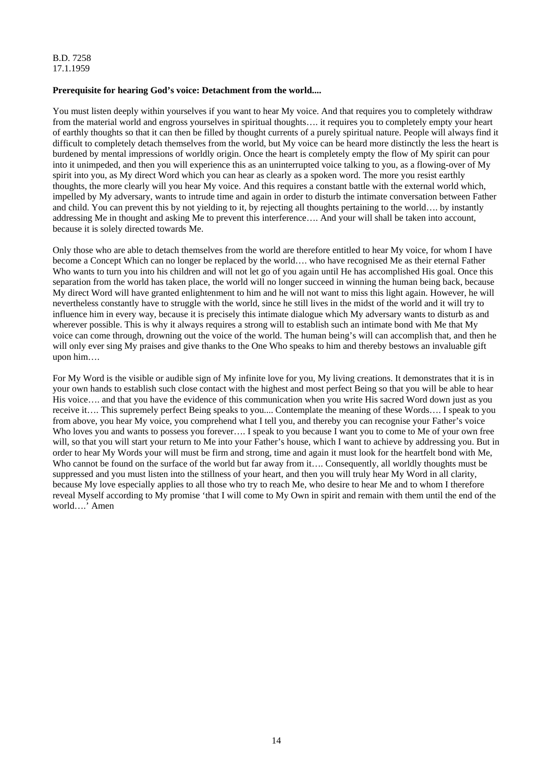#### B.D. 7258 17.1.1959

# **Prerequisite for hearing God's voice: Detachment from the world....**

You must listen deeply within yourselves if you want to hear My voice. And that requires you to completely withdraw from the material world and engross yourselves in spiritual thoughts…. it requires you to completely empty your heart of earthly thoughts so that it can then be filled by thought currents of a purely spiritual nature. People will always find it difficult to completely detach themselves from the world, but My voice can be heard more distinctly the less the heart is burdened by mental impressions of worldly origin. Once the heart is completely empty the flow of My spirit can pour into it unimpeded, and then you will experience this as an uninterrupted voice talking to you, as a flowing-over of My spirit into you, as My direct Word which you can hear as clearly as a spoken word. The more you resist earthly thoughts, the more clearly will you hear My voice. And this requires a constant battle with the external world which, impelled by My adversary, wants to intrude time and again in order to disturb the intimate conversation between Father and child. You can prevent this by not yielding to it, by rejecting all thoughts pertaining to the world…. by instantly addressing Me in thought and asking Me to prevent this interference…. And your will shall be taken into account, because it is solely directed towards Me.

Only those who are able to detach themselves from the world are therefore entitled to hear My voice, for whom I have become a Concept Which can no longer be replaced by the world…. who have recognised Me as their eternal Father Who wants to turn you into his children and will not let go of you again until He has accomplished His goal. Once this separation from the world has taken place, the world will no longer succeed in winning the human being back, because My direct Word will have granted enlightenment to him and he will not want to miss this light again. However, he will nevertheless constantly have to struggle with the world, since he still lives in the midst of the world and it will try to influence him in every way, because it is precisely this intimate dialogue which My adversary wants to disturb as and wherever possible. This is why it always requires a strong will to establish such an intimate bond with Me that My voice can come through, drowning out the voice of the world. The human being's will can accomplish that, and then he will only ever sing My praises and give thanks to the One Who speaks to him and thereby bestows an invaluable gift upon him….

For My Word is the visible or audible sign of My infinite love for you, My living creations. It demonstrates that it is in your own hands to establish such close contact with the highest and most perfect Being so that you will be able to hear His voice…. and that you have the evidence of this communication when you write His sacred Word down just as you receive it…. This supremely perfect Being speaks to you.... Contemplate the meaning of these Words…. I speak to you from above, you hear My voice, you comprehend what I tell you, and thereby you can recognise your Father's voice Who loves you and wants to possess you forever.... I speak to you because I want you to come to Me of your own free will, so that you will start your return to Me into your Father's house, which I want to achieve by addressing you. But in order to hear My Words your will must be firm and strong, time and again it must look for the heartfelt bond with Me, Who cannot be found on the surface of the world but far away from it…. Consequently, all worldly thoughts must be suppressed and you must listen into the stillness of your heart, and then you will truly hear My Word in all clarity, because My love especially applies to all those who try to reach Me, who desire to hear Me and to whom I therefore reveal Myself according to My promise 'that I will come to My Own in spirit and remain with them until the end of the world….' Amen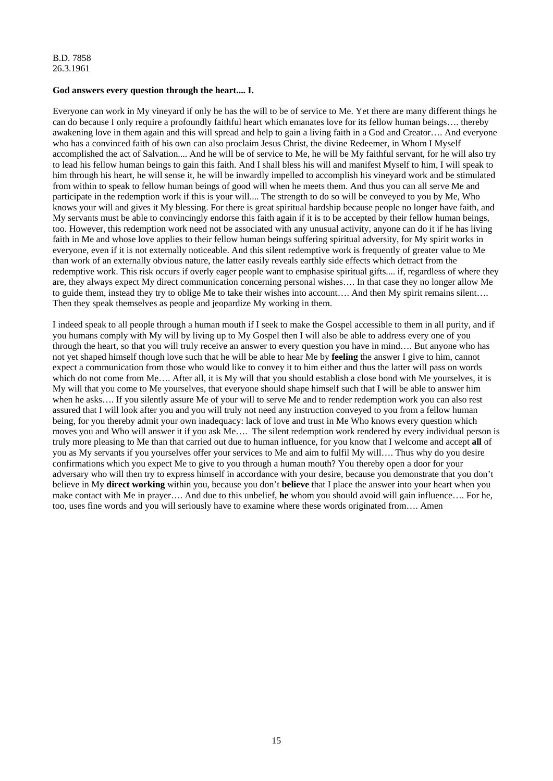#### **God answers every question through the heart.... I.**

Everyone can work in My vineyard if only he has the will to be of service to Me. Yet there are many different things he can do because I only require a profoundly faithful heart which emanates love for its fellow human beings…. thereby awakening love in them again and this will spread and help to gain a living faith in a God and Creator…. And everyone who has a convinced faith of his own can also proclaim Jesus Christ, the divine Redeemer, in Whom I Myself accomplished the act of Salvation.... And he will be of service to Me, he will be My faithful servant, for he will also try to lead his fellow human beings to gain this faith. And I shall bless his will and manifest Myself to him, I will speak to him through his heart, he will sense it, he will be inwardly impelled to accomplish his vineyard work and be stimulated from within to speak to fellow human beings of good will when he meets them. And thus you can all serve Me and participate in the redemption work if this is your will.... The strength to do so will be conveyed to you by Me, Who knows your will and gives it My blessing. For there is great spiritual hardship because people no longer have faith, and My servants must be able to convincingly endorse this faith again if it is to be accepted by their fellow human beings, too. However, this redemption work need not be associated with any unusual activity, anyone can do it if he has living faith in Me and whose love applies to their fellow human beings suffering spiritual adversity, for My spirit works in everyone, even if it is not externally noticeable. And this silent redemptive work is frequently of greater value to Me than work of an externally obvious nature, the latter easily reveals earthly side effects which detract from the redemptive work. This risk occurs if overly eager people want to emphasise spiritual gifts.... if, regardless of where they are, they always expect My direct communication concerning personal wishes…. In that case they no longer allow Me to guide them, instead they try to oblige Me to take their wishes into account…. And then My spirit remains silent…. Then they speak themselves as people and jeopardize My working in them.

I indeed speak to all people through a human mouth if I seek to make the Gospel accessible to them in all purity, and if you humans comply with My will by living up to My Gospel then I will also be able to address every one of you through the heart, so that you will truly receive an answer to every question you have in mind…. But anyone who has not yet shaped himself though love such that he will be able to hear Me by **feeling** the answer I give to him, cannot expect a communication from those who would like to convey it to him either and thus the latter will pass on words which do not come from Me.... After all, it is My will that you should establish a close bond with Me yourselves, it is My will that you come to Me yourselves, that everyone should shape himself such that I will be able to answer him when he asks.... If you silently assure Me of your will to serve Me and to render redemption work you can also rest assured that I will look after you and you will truly not need any instruction conveyed to you from a fellow human being, for you thereby admit your own inadequacy: lack of love and trust in Me Who knows every question which moves you and Who will answer it if you ask Me…. The silent redemption work rendered by every individual person is truly more pleasing to Me than that carried out due to human influence, for you know that I welcome and accept **all** of you as My servants if you yourselves offer your services to Me and aim to fulfil My will…. Thus why do you desire confirmations which you expect Me to give to you through a human mouth? You thereby open a door for your adversary who will then try to express himself in accordance with your desire, because you demonstrate that you don't believe in My **direct working** within you, because you don't **believe** that I place the answer into your heart when you make contact with Me in prayer…. And due to this unbelief, **he** whom you should avoid will gain influence…. For he, too, uses fine words and you will seriously have to examine where these words originated from…. Amen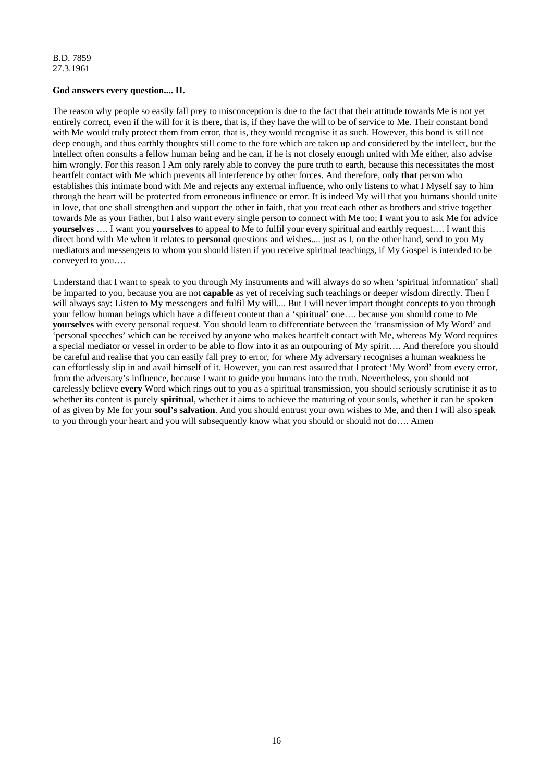# **God answers every question.... II.**

The reason why people so easily fall prey to misconception is due to the fact that their attitude towards Me is not yet entirely correct, even if the will for it is there, that is, if they have the will to be of service to Me. Their constant bond with Me would truly protect them from error, that is, they would recognise it as such. However, this bond is still not deep enough, and thus earthly thoughts still come to the fore which are taken up and considered by the intellect, but the intellect often consults a fellow human being and he can, if he is not closely enough united with Me either, also advise him wrongly. For this reason I Am only rarely able to convey the pure truth to earth, because this necessitates the most heartfelt contact with Me which prevents all interference by other forces. And therefore, only **that** person who establishes this intimate bond with Me and rejects any external influence, who only listens to what I Myself say to him through the heart will be protected from erroneous influence or error. It is indeed My will that you humans should unite in love, that one shall strengthen and support the other in faith, that you treat each other as brothers and strive together towards Me as your Father, but I also want every single person to connect with Me too; I want you to ask Me for advice **yourselves** …. I want you **yourselves** to appeal to Me to fulfil your every spiritual and earthly request…. I want this direct bond with Me when it relates to **personal** questions and wishes.... just as I, on the other hand, send to you My mediators and messengers to whom you should listen if you receive spiritual teachings, if My Gospel is intended to be conveyed to you….

Understand that I want to speak to you through My instruments and will always do so when 'spiritual information' shall be imparted to you, because you are not **capable** as yet of receiving such teachings or deeper wisdom directly. Then I will always say: Listen to My messengers and fulfil My will.... But I will never impart thought concepts to you through your fellow human beings which have a different content than a 'spiritual' one…. because you should come to Me **yourselves** with every personal request. You should learn to differentiate between the 'transmission of My Word' and 'personal speeches' which can be received by anyone who makes heartfelt contact with Me, whereas My Word requires a special mediator or vessel in order to be able to flow into it as an outpouring of My spirit…. And therefore you should be careful and realise that you can easily fall prey to error, for where My adversary recognises a human weakness he can effortlessly slip in and avail himself of it. However, you can rest assured that I protect 'My Word' from every error, from the adversary's influence, because I want to guide you humans into the truth. Nevertheless, you should not carelessly believe **every** Word which rings out to you as a spiritual transmission, you should seriously scrutinise it as to whether its content is purely **spiritual**, whether it aims to achieve the maturing of your souls, whether it can be spoken of as given by Me for your **soul's salvation**. And you should entrust your own wishes to Me, and then I will also speak to you through your heart and you will subsequently know what you should or should not do…. Amen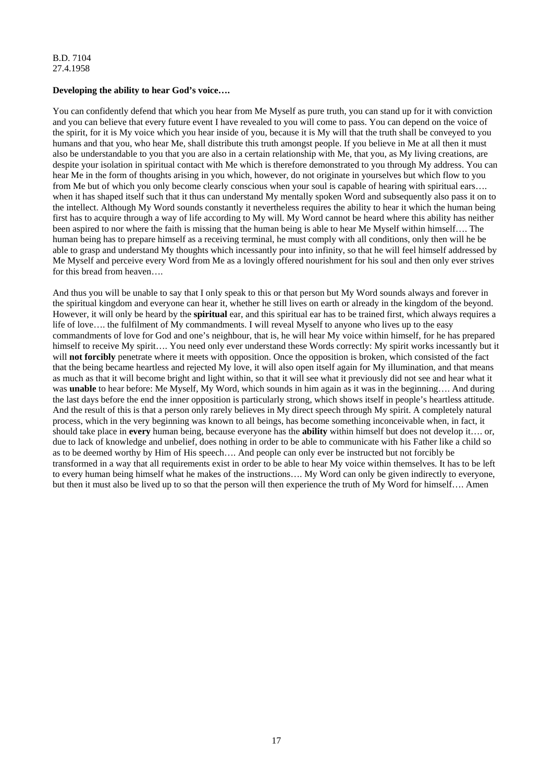# **Developing the ability to hear God's voice….**

You can confidently defend that which you hear from Me Myself as pure truth, you can stand up for it with conviction and you can believe that every future event I have revealed to you will come to pass. You can depend on the voice of the spirit, for it is My voice which you hear inside of you, because it is My will that the truth shall be conveyed to you humans and that you, who hear Me, shall distribute this truth amongst people. If you believe in Me at all then it must also be understandable to you that you are also in a certain relationship with Me, that you, as My living creations, are despite your isolation in spiritual contact with Me which is therefore demonstrated to you through My address. You can hear Me in the form of thoughts arising in you which, however, do not originate in yourselves but which flow to you from Me but of which you only become clearly conscious when your soul is capable of hearing with spiritual ears…. when it has shaped itself such that it thus can understand My mentally spoken Word and subsequently also pass it on to the intellect. Although My Word sounds constantly it nevertheless requires the ability to hear it which the human being first has to acquire through a way of life according to My will. My Word cannot be heard where this ability has neither been aspired to nor where the faith is missing that the human being is able to hear Me Myself within himself…. The human being has to prepare himself as a receiving terminal, he must comply with all conditions, only then will he be able to grasp and understand My thoughts which incessantly pour into infinity, so that he will feel himself addressed by Me Myself and perceive every Word from Me as a lovingly offered nourishment for his soul and then only ever strives for this bread from heaven….

And thus you will be unable to say that I only speak to this or that person but My Word sounds always and forever in the spiritual kingdom and everyone can hear it, whether he still lives on earth or already in the kingdom of the beyond. However, it will only be heard by the **spiritual** ear, and this spiritual ear has to be trained first, which always requires a life of love…. the fulfilment of My commandments. I will reveal Myself to anyone who lives up to the easy commandments of love for God and one's neighbour, that is, he will hear My voice within himself, for he has prepared himself to receive My spirit.... You need only ever understand these Words correctly: My spirit works incessantly but it will **not forcibly** penetrate where it meets with opposition. Once the opposition is broken, which consisted of the fact that the being became heartless and rejected My love, it will also open itself again for My illumination, and that means as much as that it will become bright and light within, so that it will see what it previously did not see and hear what it was **unable** to hear before: Me Myself, My Word, which sounds in him again as it was in the beginning.... And during the last days before the end the inner opposition is particularly strong, which shows itself in people's heartless attitude. And the result of this is that a person only rarely believes in My direct speech through My spirit. A completely natural process, which in the very beginning was known to all beings, has become something inconceivable when, in fact, it should take place in **every** human being, because everyone has the **ability** within himself but does not develop it…. or, due to lack of knowledge and unbelief, does nothing in order to be able to communicate with his Father like a child so as to be deemed worthy by Him of His speech…. And people can only ever be instructed but not forcibly be transformed in a way that all requirements exist in order to be able to hear My voice within themselves. It has to be left to every human being himself what he makes of the instructions…. My Word can only be given indirectly to everyone, but then it must also be lived up to so that the person will then experience the truth of My Word for himself…. Amen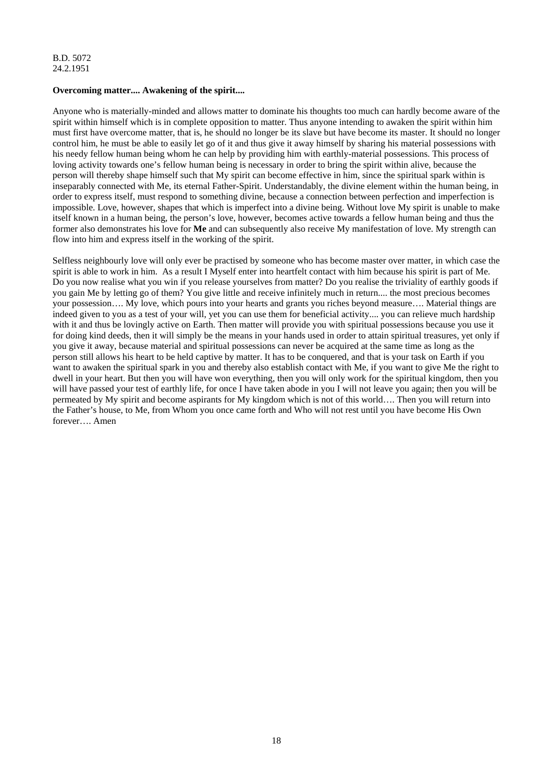# **Overcoming matter.... Awakening of the spirit....**

Anyone who is materially-minded and allows matter to dominate his thoughts too much can hardly become aware of the spirit within himself which is in complete opposition to matter. Thus anyone intending to awaken the spirit within him must first have overcome matter, that is, he should no longer be its slave but have become its master. It should no longer control him, he must be able to easily let go of it and thus give it away himself by sharing his material possessions with his needy fellow human being whom he can help by providing him with earthly-material possessions. This process of loving activity towards one's fellow human being is necessary in order to bring the spirit within alive, because the person will thereby shape himself such that My spirit can become effective in him, since the spiritual spark within is inseparably connected with Me, its eternal Father-Spirit. Understandably, the divine element within the human being, in order to express itself, must respond to something divine, because a connection between perfection and imperfection is impossible. Love, however, shapes that which is imperfect into a divine being. Without love My spirit is unable to make itself known in a human being, the person's love, however, becomes active towards a fellow human being and thus the former also demonstrates his love for **Me** and can subsequently also receive My manifestation of love. My strength can flow into him and express itself in the working of the spirit.

Selfless neighbourly love will only ever be practised by someone who has become master over matter, in which case the spirit is able to work in him. As a result I Myself enter into heartfelt contact with him because his spirit is part of Me. Do you now realise what you win if you release yourselves from matter? Do you realise the triviality of earthly goods if you gain Me by letting go of them? You give little and receive infinitely much in return.... the most precious becomes your possession…. My love, which pours into your hearts and grants you riches beyond measure…. Material things are indeed given to you as a test of your will, yet you can use them for beneficial activity.... you can relieve much hardship with it and thus be lovingly active on Earth. Then matter will provide you with spiritual possessions because you use it for doing kind deeds, then it will simply be the means in your hands used in order to attain spiritual treasures, yet only if you give it away, because material and spiritual possessions can never be acquired at the same time as long as the person still allows his heart to be held captive by matter. It has to be conquered, and that is your task on Earth if you want to awaken the spiritual spark in you and thereby also establish contact with Me, if you want to give Me the right to dwell in your heart. But then you will have won everything, then you will only work for the spiritual kingdom, then you will have passed your test of earthly life, for once I have taken abode in you I will not leave you again; then you will be permeated by My spirit and become aspirants for My kingdom which is not of this world…. Then you will return into the Father's house, to Me, from Whom you once came forth and Who will not rest until you have become His Own forever…. Amen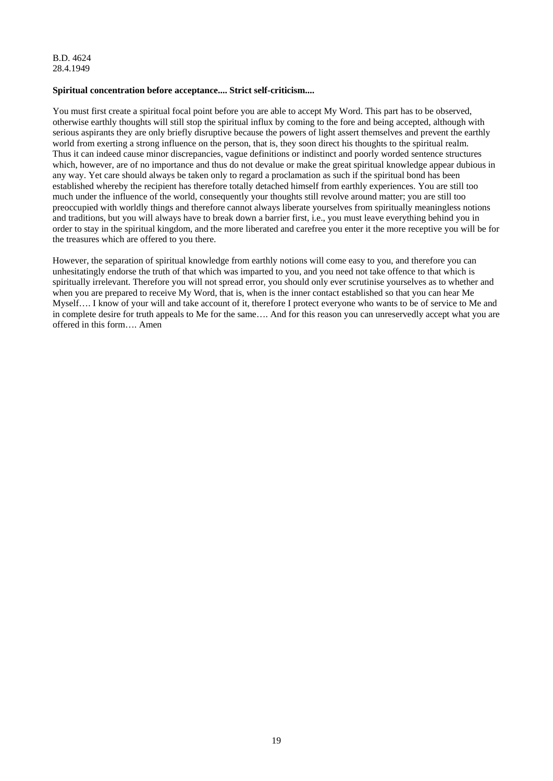B.D. 4624 28.4.1949

#### **Spiritual concentration before acceptance.... Strict self-criticism....**

You must first create a spiritual focal point before you are able to accept My Word. This part has to be observed, otherwise earthly thoughts will still stop the spiritual influx by coming to the fore and being accepted, although with serious aspirants they are only briefly disruptive because the powers of light assert themselves and prevent the earthly world from exerting a strong influence on the person, that is, they soon direct his thoughts to the spiritual realm. Thus it can indeed cause minor discrepancies, vague definitions or indistinct and poorly worded sentence structures which, however, are of no importance and thus do not devalue or make the great spiritual knowledge appear dubious in any way. Yet care should always be taken only to regard a proclamation as such if the spiritual bond has been established whereby the recipient has therefore totally detached himself from earthly experiences. You are still too much under the influence of the world, consequently your thoughts still revolve around matter; you are still too preoccupied with worldly things and therefore cannot always liberate yourselves from spiritually meaningless notions and traditions, but you will always have to break down a barrier first, i.e., you must leave everything behind you in order to stay in the spiritual kingdom, and the more liberated and carefree you enter it the more receptive you will be for the treasures which are offered to you there.

However, the separation of spiritual knowledge from earthly notions will come easy to you, and therefore you can unhesitatingly endorse the truth of that which was imparted to you, and you need not take offence to that which is spiritually irrelevant. Therefore you will not spread error, you should only ever scrutinise yourselves as to whether and when you are prepared to receive My Word, that is, when is the inner contact established so that you can hear Me Myself…. I know of your will and take account of it, therefore I protect everyone who wants to be of service to Me and in complete desire for truth appeals to Me for the same…. And for this reason you can unreservedly accept what you are offered in this form…. Amen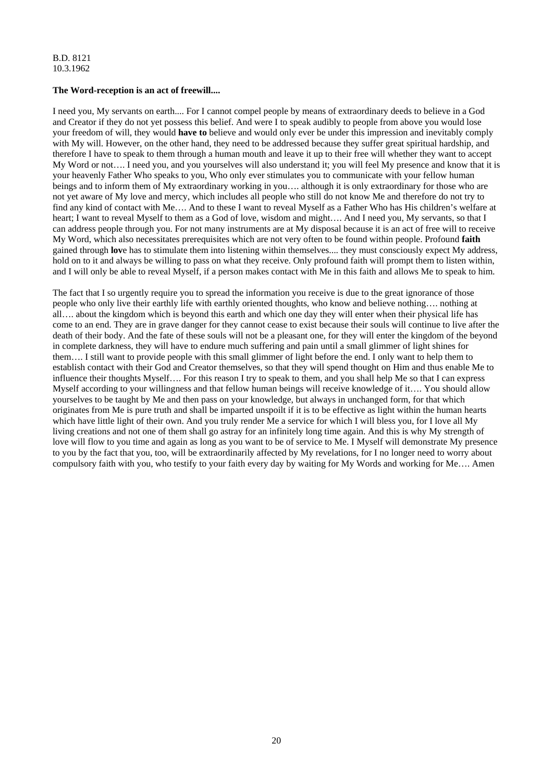# **The Word-reception is an act of freewill....**

I need you, My servants on earth.... For I cannot compel people by means of extraordinary deeds to believe in a God and Creator if they do not yet possess this belief. And were I to speak audibly to people from above you would lose your freedom of will, they would **have to** believe and would only ever be under this impression and inevitably comply with My will. However, on the other hand, they need to be addressed because they suffer great spiritual hardship, and therefore I have to speak to them through a human mouth and leave it up to their free will whether they want to accept My Word or not…. I need you, and you yourselves will also understand it; you will feel My presence and know that it is your heavenly Father Who speaks to you, Who only ever stimulates you to communicate with your fellow human beings and to inform them of My extraordinary working in you…. although it is only extraordinary for those who are not yet aware of My love and mercy, which includes all people who still do not know Me and therefore do not try to find any kind of contact with Me…. And to these I want to reveal Myself as a Father Who has His children's welfare at heart; I want to reveal Myself to them as a God of love, wisdom and might.... And I need you, My servants, so that I can address people through you. For not many instruments are at My disposal because it is an act of free will to receive My Word, which also necessitates prerequisites which are not very often to be found within people. Profound **faith** gained through **lov**e has to stimulate them into listening within themselves.... they must consciously expect My address, hold on to it and always be willing to pass on what they receive. Only profound faith will prompt them to listen within, and I will only be able to reveal Myself, if a person makes contact with Me in this faith and allows Me to speak to him.

The fact that I so urgently require you to spread the information you receive is due to the great ignorance of those people who only live their earthly life with earthly oriented thoughts, who know and believe nothing…. nothing at all…. about the kingdom which is beyond this earth and which one day they will enter when their physical life has come to an end. They are in grave danger for they cannot cease to exist because their souls will continue to live after the death of their body. And the fate of these souls will not be a pleasant one, for they will enter the kingdom of the beyond in complete darkness, they will have to endure much suffering and pain until a small glimmer of light shines for them…. I still want to provide people with this small glimmer of light before the end. I only want to help them to establish contact with their God and Creator themselves, so that they will spend thought on Him and thus enable Me to influence their thoughts Myself…. For this reason I try to speak to them, and you shall help Me so that I can express Myself according to your willingness and that fellow human beings will receive knowledge of it…. You should allow yourselves to be taught by Me and then pass on your knowledge, but always in unchanged form, for that which originates from Me is pure truth and shall be imparted unspoilt if it is to be effective as light within the human hearts which have little light of their own. And you truly render Me a service for which I will bless you, for I love all My living creations and not one of them shall go astray for an infinitely long time again. And this is why My strength of love will flow to you time and again as long as you want to be of service to Me. I Myself will demonstrate My presence to you by the fact that you, too, will be extraordinarily affected by My revelations, for I no longer need to worry about compulsory faith with you, who testify to your faith every day by waiting for My Words and working for Me…. Amen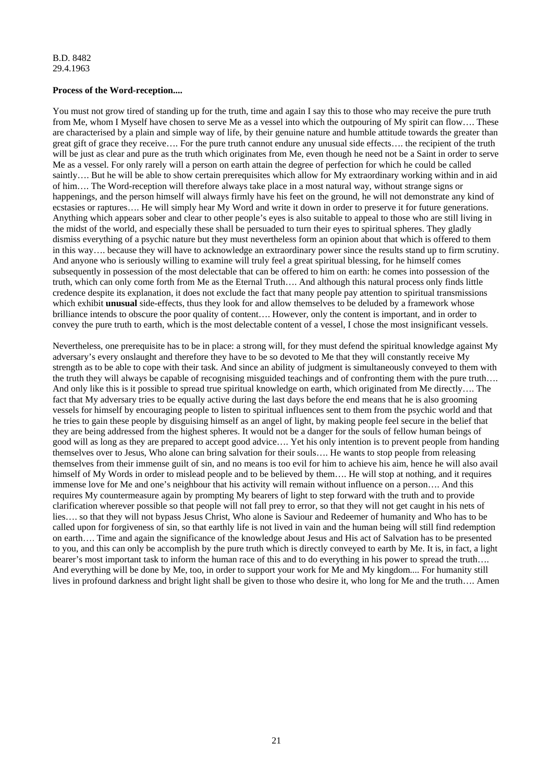# **Process of the Word-reception....**

You must not grow tired of standing up for the truth, time and again I say this to those who may receive the pure truth from Me, whom I Myself have chosen to serve Me as a vessel into which the outpouring of My spirit can flow…. These are characterised by a plain and simple way of life, by their genuine nature and humble attitude towards the greater than great gift of grace they receive…. For the pure truth cannot endure any unusual side effects…. the recipient of the truth will be just as clear and pure as the truth which originates from Me, even though he need not be a Saint in order to serve Me as a vessel. For only rarely will a person on earth attain the degree of perfection for which he could be called saintly…. But he will be able to show certain prerequisites which allow for My extraordinary working within and in aid of him…. The Word-reception will therefore always take place in a most natural way, without strange signs or happenings, and the person himself will always firmly have his feet on the ground, he will not demonstrate any kind of ecstasies or raptures…. He will simply hear My Word and write it down in order to preserve it for future generations. Anything which appears sober and clear to other people's eyes is also suitable to appeal to those who are still living in the midst of the world, and especially these shall be persuaded to turn their eyes to spiritual spheres. They gladly dismiss everything of a psychic nature but they must nevertheless form an opinion about that which is offered to them in this way…. because they will have to acknowledge an extraordinary power since the results stand up to firm scrutiny. And anyone who is seriously willing to examine will truly feel a great spiritual blessing, for he himself comes subsequently in possession of the most delectable that can be offered to him on earth: he comes into possession of the truth, which can only come forth from Me as the Eternal Truth…. And although this natural process only finds little credence despite its explanation, it does not exclude the fact that many people pay attention to spiritual transmissions which exhibit **unusual** side-effects, thus they look for and allow themselves to be deluded by a framework whose brilliance intends to obscure the poor quality of content…. However, only the content is important, and in order to convey the pure truth to earth, which is the most delectable content of a vessel, I chose the most insignificant vessels.

Nevertheless, one prerequisite has to be in place: a strong will, for they must defend the spiritual knowledge against My adversary's every onslaught and therefore they have to be so devoted to Me that they will constantly receive My strength as to be able to cope with their task. And since an ability of judgment is simultaneously conveyed to them with the truth they will always be capable of recognising misguided teachings and of confronting them with the pure truth…. And only like this is it possible to spread true spiritual knowledge on earth, which originated from Me directly…. The fact that My adversary tries to be equally active during the last days before the end means that he is also grooming vessels for himself by encouraging people to listen to spiritual influences sent to them from the psychic world and that he tries to gain these people by disguising himself as an angel of light, by making people feel secure in the belief that they are being addressed from the highest spheres. It would not be a danger for the souls of fellow human beings of good will as long as they are prepared to accept good advice…. Yet his only intention is to prevent people from handing themselves over to Jesus, Who alone can bring salvation for their souls…. He wants to stop people from releasing themselves from their immense guilt of sin, and no means is too evil for him to achieve his aim, hence he will also avail himself of My Words in order to mislead people and to be believed by them…. He will stop at nothing, and it requires immense love for Me and one's neighbour that his activity will remain without influence on a person…. And this requires My countermeasure again by prompting My bearers of light to step forward with the truth and to provide clarification wherever possible so that people will not fall prey to error, so that they will not get caught in his nets of lies…. so that they will not bypass Jesus Christ, Who alone is Saviour and Redeemer of humanity and Who has to be called upon for forgiveness of sin, so that earthly life is not lived in vain and the human being will still find redemption on earth…. Time and again the significance of the knowledge about Jesus and His act of Salvation has to be presented to you, and this can only be accomplish by the pure truth which is directly conveyed to earth by Me. It is, in fact, a light bearer's most important task to inform the human race of this and to do everything in his power to spread the truth…. And everything will be done by Me, too, in order to support your work for Me and My kingdom.... For humanity still lives in profound darkness and bright light shall be given to those who desire it, who long for Me and the truth…. Amen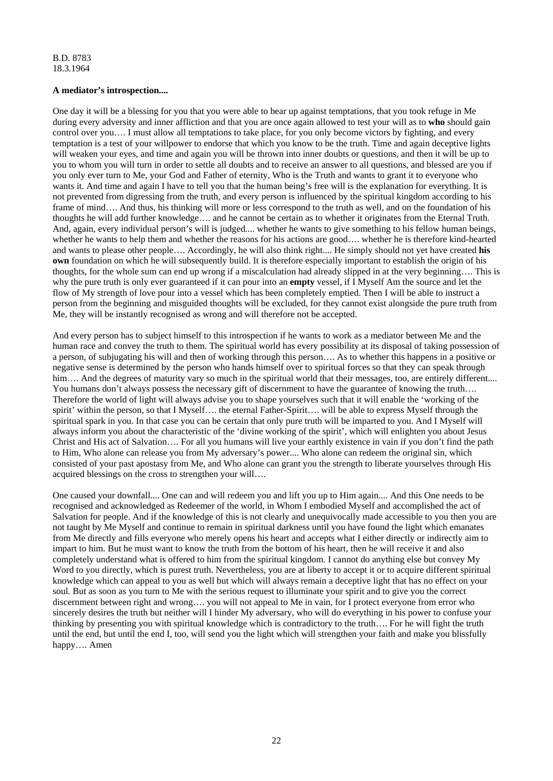# **A mediator's introspection....**

One day it will be a blessing for you that you were able to bear up against temptations, that you took refuge in Me during every adversity and inner affliction and that you are once again allowed to test your will as to **who** should gain control over you…. I must allow all temptations to take place, for you only become victors by fighting, and every temptation is a test of your willpower to endorse that which you know to be the truth. Time and again deceptive lights will weaken your eyes, and time and again you will be thrown into inner doubts or questions, and then it will be up to you to whom you will turn in order to settle all doubts and to receive an answer to all questions, and blessed are you if you only ever turn to Me, your God and Father of eternity, Who is the Truth and wants to grant it to everyone who wants it. And time and again I have to tell you that the human being's free will is the explanation for everything. It is not prevented from digressing from the truth, and every person is influenced by the spiritual kingdom according to his frame of mind.... And thus, his thinking will more or less correspond to the truth as well, and on the foundation of his thoughts he will add further knowledge…. and he cannot be certain as to whether it originates from the Eternal Truth. And, again, every individual person's will is judged.... whether he wants to give something to his fellow human beings, whether he wants to help them and whether the reasons for his actions are good.... whether he is therefore kind-hearted and wants to please other people…. Accordingly, he will also think right.... He simply should not yet have created **his own** foundation on which he will subsequently build. It is therefore especially important to establish the origin of his thoughts, for the whole sum can end up wrong if a miscalculation had already slipped in at the very beginning…. This is why the pure truth is only ever guaranteed if it can pour into an **empty** vessel, if I Myself Am the source and let the flow of My strength of love pour into a vessel which has been completely emptied. Then I will be able to instruct a person from the beginning and misguided thoughts will be excluded, for they cannot exist alongside the pure truth from Me, they will be instantly recognised as wrong and will therefore not be accepted.

And every person has to subject himself to this introspection if he wants to work as a mediator between Me and the human race and convey the truth to them. The spiritual world has every possibility at its disposal of taking possession of a person, of subjugating his will and then of working through this person…. As to whether this happens in a positive or negative sense is determined by the person who hands himself over to spiritual forces so that they can speak through him…. And the degrees of maturity vary so much in the spiritual world that their messages, too, are entirely different.... You humans don't always possess the necessary gift of discernment to have the guarantee of knowing the truth... Therefore the world of light will always advise you to shape yourselves such that it will enable the 'working of the spirit' within the person, so that I Myself…. the eternal Father-Spirit…. will be able to express Myself through the spiritual spark in you. In that case you can be certain that only pure truth will be imparted to you. And I Myself will always inform you about the characteristic of the 'divine working of the spirit', which will enlighten you about Jesus Christ and His act of Salvation…. For all you humans will live your earthly existence in vain if you don't find the path to Him, Who alone can release you from My adversary's power.... Who alone can redeem the original sin, which consisted of your past apostasy from Me, and Who alone can grant you the strength to liberate yourselves through His acquired blessings on the cross to strengthen your will….

One caused your downfall.... One can and will redeem you and lift you up to Him again.... And this One needs to be recognised and acknowledged as Redeemer of the world, in Whom I embodied Myself and accomplished the act of Salvation for people. And if the knowledge of this is not clearly and unequivocally made accessible to you then you are not taught by Me Myself and continue to remain in spiritual darkness until you have found the light which emanates from Me directly and fills everyone who merely opens his heart and accepts what I either directly or indirectly aim to impart to him. But he must want to know the truth from the bottom of his heart, then he will receive it and also completely understand what is offered to him from the spiritual kingdom. I cannot do anything else but convey My Word to you directly, which is purest truth. Nevertheless, you are at liberty to accept it or to acquire different spiritual knowledge which can appeal to you as well but which will always remain a deceptive light that has no effect on your soul. But as soon as you turn to Me with the serious request to illuminate your spirit and to give you the correct discernment between right and wrong…. you will not appeal to Me in vain, for I protect everyone from error who sincerely desires the truth but neither will I hinder My adversary, who will do everything in his power to confuse your thinking by presenting you with spiritual knowledge which is contradictory to the truth…. For he will fight the truth until the end, but until the end I, too, will send you the light which will strengthen your faith and make you blissfully happy…. Amen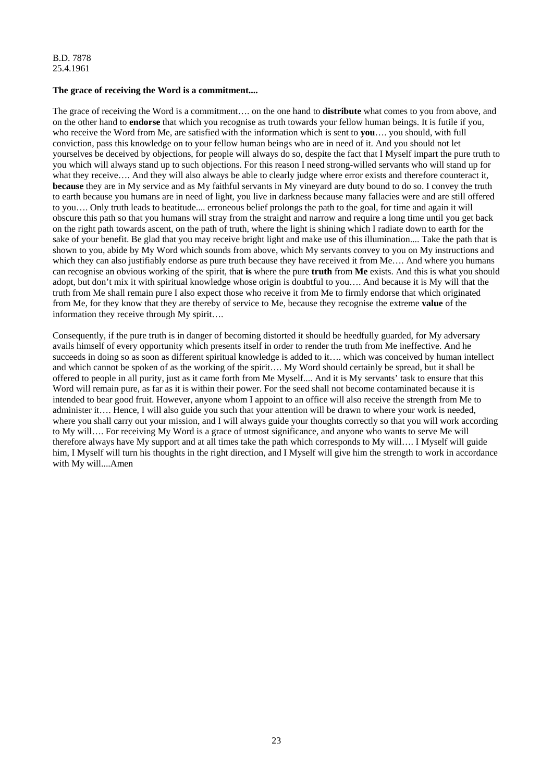# **The grace of receiving the Word is a commitment....**

The grace of receiving the Word is a commitment…. on the one hand to **distribute** what comes to you from above, and on the other hand to **endorse** that which you recognise as truth towards your fellow human beings. It is futile if you, who receive the Word from Me, are satisfied with the information which is sent to **you**…. you should, with full conviction, pass this knowledge on to your fellow human beings who are in need of it. And you should not let yourselves be deceived by objections, for people will always do so, despite the fact that I Myself impart the pure truth to you which will always stand up to such objections. For this reason I need strong-willed servants who will stand up for what they receive.... And they will also always be able to clearly judge where error exists and therefore counteract it, **because** they are in My service and as My faithful servants in My vineyard are duty bound to do so. I convey the truth to earth because you humans are in need of light, you live in darkness because many fallacies were and are still offered to you…. Only truth leads to beatitude.... erroneous belief prolongs the path to the goal, for time and again it will obscure this path so that you humans will stray from the straight and narrow and require a long time until you get back on the right path towards ascent, on the path of truth, where the light is shining which I radiate down to earth for the sake of your benefit. Be glad that you may receive bright light and make use of this illumination.... Take the path that is shown to you, abide by My Word which sounds from above, which My servants convey to you on My instructions and which they can also justifiably endorse as pure truth because they have received it from Me.... And where you humans can recognise an obvious working of the spirit, that **is** where the pure **truth** from **Me** exists. And this is what you should adopt, but don't mix it with spiritual knowledge whose origin is doubtful to you…. And because it is My will that the truth from Me shall remain pure I also expect those who receive it from Me to firmly endorse that which originated from Me, for they know that they are thereby of service to Me, because they recognise the extreme **value** of the information they receive through My spirit….

Consequently, if the pure truth is in danger of becoming distorted it should be heedfully guarded, for My adversary avails himself of every opportunity which presents itself in order to render the truth from Me ineffective. And he succeeds in doing so as soon as different spiritual knowledge is added to it…. which was conceived by human intellect and which cannot be spoken of as the working of the spirit…. My Word should certainly be spread, but it shall be offered to people in all purity, just as it came forth from Me Myself.... And it is My servants' task to ensure that this Word will remain pure, as far as it is within their power. For the seed shall not become contaminated because it is intended to bear good fruit. However, anyone whom I appoint to an office will also receive the strength from Me to administer it…. Hence, I will also guide you such that your attention will be drawn to where your work is needed, where you shall carry out your mission, and I will always guide your thoughts correctly so that you will work according to My will…. For receiving My Word is a grace of utmost significance, and anyone who wants to serve Me will therefore always have My support and at all times take the path which corresponds to My will…. I Myself will guide him, I Myself will turn his thoughts in the right direction, and I Myself will give him the strength to work in accordance with My will....Amen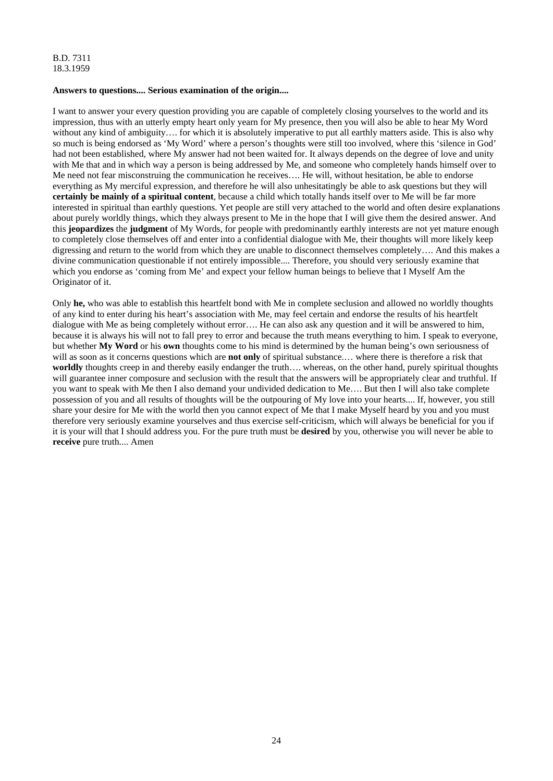# **Answers to questions.... Serious examination of the origin....**

I want to answer your every question providing you are capable of completely closing yourselves to the world and its impression, thus with an utterly empty heart only yearn for My presence, then you will also be able to hear My Word without any kind of ambiguity.... for which it is absolutely imperative to put all earthly matters aside. This is also why so much is being endorsed as 'My Word' where a person's thoughts were still too involved, where this 'silence in God' had not been established, where My answer had not been waited for. It always depends on the degree of love and unity with Me that and in which way a person is being addressed by Me, and someone who completely hands himself over to Me need not fear misconstruing the communication he receives…. He will, without hesitation, be able to endorse everything as My merciful expression, and therefore he will also unhesitatingly be able to ask questions but they will **certainly be mainly of a spiritual content**, because a child which totally hands itself over to Me will be far more interested in spiritual than earthly questions. Yet people are still very attached to the world and often desire explanations about purely worldly things, which they always present to Me in the hope that I will give them the desired answer. And this **jeopardizes** the **judgment** of My Words, for people with predominantly earthly interests are not yet mature enough to completely close themselves off and enter into a confidential dialogue with Me, their thoughts will more likely keep digressing and return to the world from which they are unable to disconnect themselves completely…. And this makes a divine communication questionable if not entirely impossible.... Therefore, you should very seriously examine that which you endorse as 'coming from Me' and expect your fellow human beings to believe that I Myself Am the Originator of it.

Only **he,** who was able to establish this heartfelt bond with Me in complete seclusion and allowed no worldly thoughts of any kind to enter during his heart's association with Me, may feel certain and endorse the results of his heartfelt dialogue with Me as being completely without error…. He can also ask any question and it will be answered to him, because it is always his will not to fall prey to error and because the truth means everything to him. I speak to everyone, but whether **My Word** or his **own** thoughts come to his mind is determined by the human being's own seriousness of will as soon as it concerns questions which are **not only** of spiritual substance.... where there is therefore a risk that **worldly** thoughts creep in and thereby easily endanger the truth…. whereas, on the other hand, purely spiritual thoughts will guarantee inner composure and seclusion with the result that the answers will be appropriately clear and truthful. If you want to speak with Me then I also demand your undivided dedication to Me…. But then I will also take complete possession of you and all results of thoughts will be the outpouring of My love into your hearts.... If, however, you still share your desire for Me with the world then you cannot expect of Me that I make Myself heard by you and you must therefore very seriously examine yourselves and thus exercise self-criticism, which will always be beneficial for you if it is your will that I should address you. For the pure truth must be **desired** by you, otherwise you will never be able to **receive** pure truth.... Amen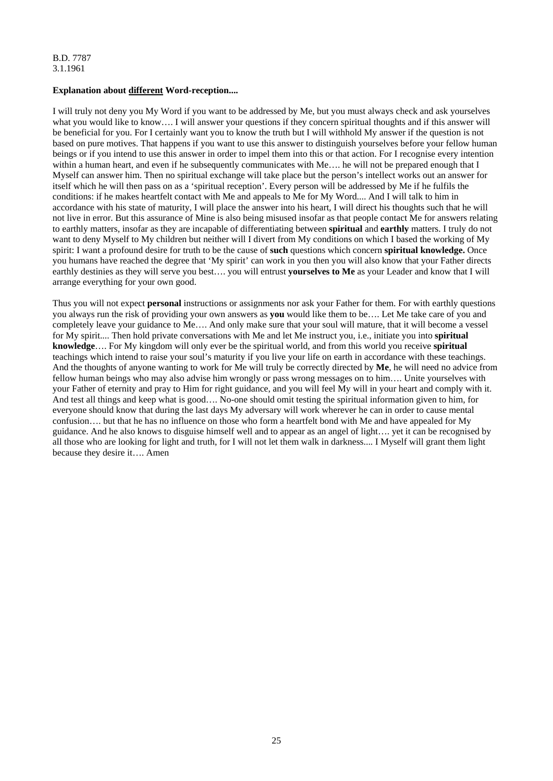# **Explanation about different Word-reception....**

I will truly not deny you My Word if you want to be addressed by Me, but you must always check and ask yourselves what you would like to know.... I will answer your questions if they concern spiritual thoughts and if this answer will be beneficial for you. For I certainly want you to know the truth but I will withhold My answer if the question is not based on pure motives. That happens if you want to use this answer to distinguish yourselves before your fellow human beings or if you intend to use this answer in order to impel them into this or that action. For I recognise every intention within a human heart, and even if he subsequently communicates with Me.... he will not be prepared enough that I Myself can answer him. Then no spiritual exchange will take place but the person's intellect works out an answer for itself which he will then pass on as a 'spiritual reception'. Every person will be addressed by Me if he fulfils the conditions: if he makes heartfelt contact with Me and appeals to Me for My Word.... And I will talk to him in accordance with his state of maturity, I will place the answer into his heart, I will direct his thoughts such that he will not live in error. But this assurance of Mine is also being misused insofar as that people contact Me for answers relating to earthly matters, insofar as they are incapable of differentiating between **spiritual** and **earthly** matters. I truly do not want to deny Myself to My children but neither will I divert from My conditions on which I based the working of My spirit: I want a profound desire for truth to be the cause of **such** questions which concern **spiritual knowledge.** Once you humans have reached the degree that 'My spirit' can work in you then you will also know that your Father directs earthly destinies as they will serve you best…. you will entrust **yourselves to Me** as your Leader and know that I will arrange everything for your own good.

Thus you will not expect **personal** instructions or assignments nor ask your Father for them. For with earthly questions you always run the risk of providing your own answers as **you** would like them to be…. Let Me take care of you and completely leave your guidance to Me…. And only make sure that your soul will mature, that it will become a vessel for My spirit.... Then hold private conversations with Me and let Me instruct you, i.e., initiate you into **spiritual knowledge**…. For My kingdom will only ever be the spiritual world, and from this world you receive **spiritual** teachings which intend to raise your soul's maturity if you live your life on earth in accordance with these teachings. And the thoughts of anyone wanting to work for Me will truly be correctly directed by **Me**, he will need no advice from fellow human beings who may also advise him wrongly or pass wrong messages on to him…. Unite yourselves with your Father of eternity and pray to Him for right guidance, and you will feel My will in your heart and comply with it. And test all things and keep what is good…. No-one should omit testing the spiritual information given to him, for everyone should know that during the last days My adversary will work wherever he can in order to cause mental confusion…. but that he has no influence on those who form a heartfelt bond with Me and have appealed for My guidance. And he also knows to disguise himself well and to appear as an angel of light…. yet it can be recognised by all those who are looking for light and truth, for I will not let them walk in darkness.... I Myself will grant them light because they desire it…. Amen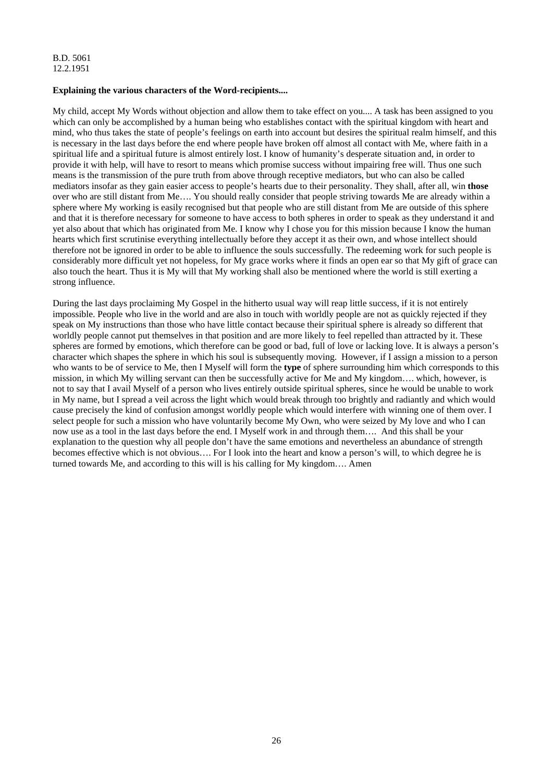# **Explaining the various characters of the Word-recipients....**

My child, accept My Words without objection and allow them to take effect on you.... A task has been assigned to you which can only be accomplished by a human being who establishes contact with the spiritual kingdom with heart and mind, who thus takes the state of people's feelings on earth into account but desires the spiritual realm himself, and this is necessary in the last days before the end where people have broken off almost all contact with Me, where faith in a spiritual life and a spiritual future is almost entirely lost. I know of humanity's desperate situation and, in order to provide it with help, will have to resort to means which promise success without impairing free will. Thus one such means is the transmission of the pure truth from above through receptive mediators, but who can also be called mediators insofar as they gain easier access to people's hearts due to their personality. They shall, after all, win **those** over who are still distant from Me…. You should really consider that people striving towards Me are already within a sphere where My working is easily recognised but that people who are still distant from Me are outside of this sphere and that it is therefore necessary for someone to have access to both spheres in order to speak as they understand it and yet also about that which has originated from Me. I know why I chose you for this mission because I know the human hearts which first scrutinise everything intellectually before they accept it as their own, and whose intellect should therefore not be ignored in order to be able to influence the souls successfully. The redeeming work for such people is considerably more difficult yet not hopeless, for My grace works where it finds an open ear so that My gift of grace can also touch the heart. Thus it is My will that My working shall also be mentioned where the world is still exerting a strong influence.

During the last days proclaiming My Gospel in the hitherto usual way will reap little success, if it is not entirely impossible. People who live in the world and are also in touch with worldly people are not as quickly rejected if they speak on My instructions than those who have little contact because their spiritual sphere is already so different that worldly people cannot put themselves in that position and are more likely to feel repelled than attracted by it. These spheres are formed by emotions, which therefore can be good or bad, full of love or lacking love. It is always a person's character which shapes the sphere in which his soul is subsequently moving. However, if I assign a mission to a person who wants to be of service to Me, then I Myself will form the **type** of sphere surrounding him which corresponds to this mission, in which My willing servant can then be successfully active for Me and My kingdom…. which, however, is not to say that I avail Myself of a person who lives entirely outside spiritual spheres, since he would be unable to work in My name, but I spread a veil across the light which would break through too brightly and radiantly and which would cause precisely the kind of confusion amongst worldly people which would interfere with winning one of them over. I select people for such a mission who have voluntarily become My Own, who were seized by My love and who I can now use as a tool in the last days before the end. I Myself work in and through them…. And this shall be your explanation to the question why all people don't have the same emotions and nevertheless an abundance of strength becomes effective which is not obvious…. For I look into the heart and know a person's will, to which degree he is turned towards Me, and according to this will is his calling for My kingdom…. Amen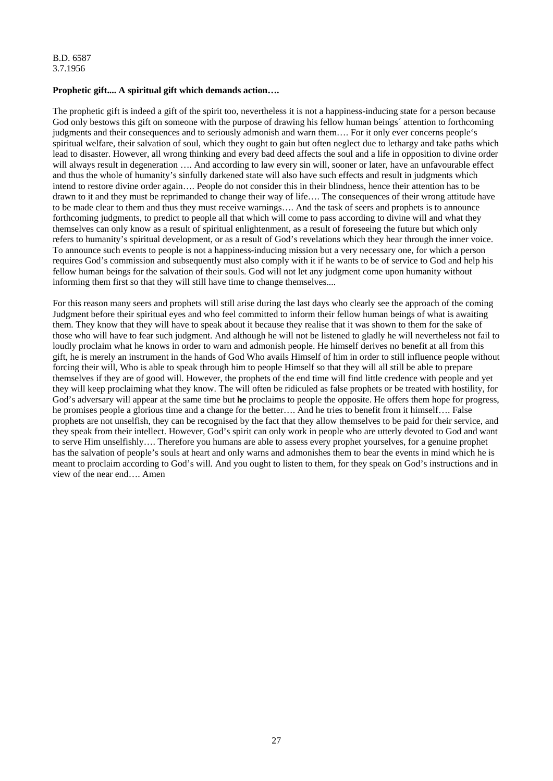B.D. 6587 3.7.1956

#### **Prophetic gift.... A spiritual gift which demands action….**

The prophetic gift is indeed a gift of the spirit too, nevertheless it is not a happiness-inducing state for a person because God only bestows this gift on someone with the purpose of drawing his fellow human beings´ attention to forthcoming judgments and their consequences and to seriously admonish and warn them…. For it only ever concerns people's spiritual welfare, their salvation of soul, which they ought to gain but often neglect due to lethargy and take paths which lead to disaster. However, all wrong thinking and every bad deed affects the soul and a life in opposition to divine order will always result in degeneration .... And according to law every sin will, sooner or later, have an unfavourable effect and thus the whole of humanity's sinfully darkened state will also have such effects and result in judgments which intend to restore divine order again…. People do not consider this in their blindness, hence their attention has to be drawn to it and they must be reprimanded to change their way of life…. The consequences of their wrong attitude have to be made clear to them and thus they must receive warnings…. And the task of seers and prophets is to announce forthcoming judgments, to predict to people all that which will come to pass according to divine will and what they themselves can only know as a result of spiritual enlightenment, as a result of foreseeing the future but which only refers to humanity's spiritual development, or as a result of God's revelations which they hear through the inner voice. To announce such events to people is not a happiness-inducing mission but a very necessary one, for which a person requires God's commission and subsequently must also comply with it if he wants to be of service to God and help his fellow human beings for the salvation of their souls. God will not let any judgment come upon humanity without informing them first so that they will still have time to change themselves....

For this reason many seers and prophets will still arise during the last days who clearly see the approach of the coming Judgment before their spiritual eyes and who feel committed to inform their fellow human beings of what is awaiting them. They know that they will have to speak about it because they realise that it was shown to them for the sake of those who will have to fear such judgment. And although he will not be listened to gladly he will nevertheless not fail to loudly proclaim what he knows in order to warn and admonish people. He himself derives no benefit at all from this gift, he is merely an instrument in the hands of God Who avails Himself of him in order to still influence people without forcing their will, Who is able to speak through him to people Himself so that they will all still be able to prepare themselves if they are of good will. However, the prophets of the end time will find little credence with people and yet they will keep proclaiming what they know. The will often be ridiculed as false prophets or be treated with hostility, for God's adversary will appear at the same time but **he** proclaims to people the opposite. He offers them hope for progress, he promises people a glorious time and a change for the better…. And he tries to benefit from it himself…. False prophets are not unselfish, they can be recognised by the fact that they allow themselves to be paid for their service, and they speak from their intellect. However, God's spirit can only work in people who are utterly devoted to God and want to serve Him unselfishly…. Therefore you humans are able to assess every prophet yourselves, for a genuine prophet has the salvation of people's souls at heart and only warns and admonishes them to bear the events in mind which he is meant to proclaim according to God's will. And you ought to listen to them, for they speak on God's instructions and in view of the near end…. Amen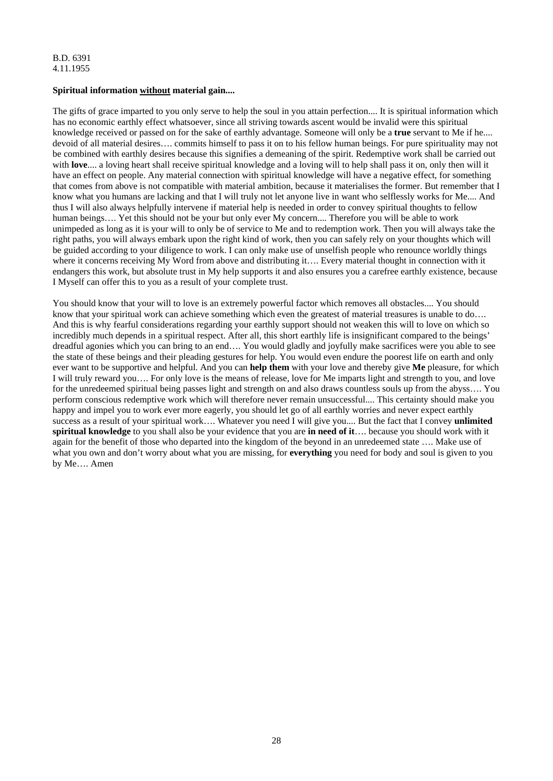# **Spiritual information without material gain....**

The gifts of grace imparted to you only serve to help the soul in you attain perfection.... It is spiritual information which has no economic earthly effect whatsoever, since all striving towards ascent would be invalid were this spiritual knowledge received or passed on for the sake of earthly advantage. Someone will only be a **true** servant to Me if he.... devoid of all material desires…. commits himself to pass it on to his fellow human beings. For pure spirituality may not be combined with earthly desires because this signifies a demeaning of the spirit. Redemptive work shall be carried out with **love**.... a loving heart shall receive spiritual knowledge and a loving will to help shall pass it on, only then will it have an effect on people. Any material connection with spiritual knowledge will have a negative effect, for something that comes from above is not compatible with material ambition, because it materialises the former. But remember that I know what you humans are lacking and that I will truly not let anyone live in want who selflessly works for Me.... And thus I will also always helpfully intervene if material help is needed in order to convey spiritual thoughts to fellow human beings…. Yet this should not be your but only ever My concern.... Therefore you will be able to work unimpeded as long as it is your will to only be of service to Me and to redemption work. Then you will always take the right paths, you will always embark upon the right kind of work, then you can safely rely on your thoughts which will be guided according to your diligence to work. I can only make use of unselfish people who renounce worldly things where it concerns receiving My Word from above and distributing it…. Every material thought in connection with it endangers this work, but absolute trust in My help supports it and also ensures you a carefree earthly existence, because I Myself can offer this to you as a result of your complete trust.

You should know that your will to love is an extremely powerful factor which removes all obstacles.... You should know that your spiritual work can achieve something which even the greatest of material treasures is unable to do…. And this is why fearful considerations regarding your earthly support should not weaken this will to love on which so incredibly much depends in a spiritual respect. After all, this short earthly life is insignificant compared to the beings' dreadful agonies which you can bring to an end…. You would gladly and joyfully make sacrifices were you able to see the state of these beings and their pleading gestures for help. You would even endure the poorest life on earth and only ever want to be supportive and helpful. And you can **help them** with your love and thereby give **Me** pleasure, for which I will truly reward you…. For only love is the means of release, love for Me imparts light and strength to you, and love for the unredeemed spiritual being passes light and strength on and also draws countless souls up from the abyss…. You perform conscious redemptive work which will therefore never remain unsuccessful.... This certainty should make you happy and impel you to work ever more eagerly, you should let go of all earthly worries and never expect earthly success as a result of your spiritual work…. Whatever you need I will give you.... But the fact that I convey **unlimited spiritual knowledge** to you shall also be your evidence that you are **in need of it**…. because you should work with it again for the benefit of those who departed into the kingdom of the beyond in an unredeemed state …. Make use of what you own and don't worry about what you are missing, for **everything** you need for body and soul is given to you by Me…. Amen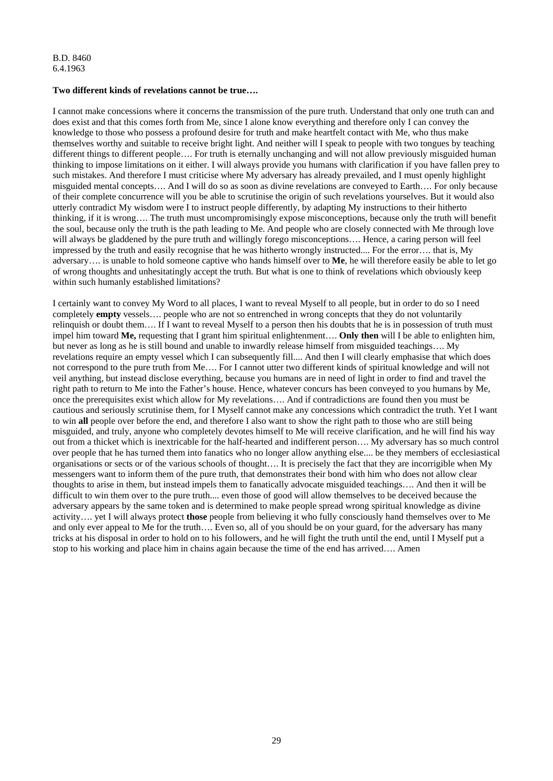#### **Two different kinds of revelations cannot be true….**

I cannot make concessions where it concerns the transmission of the pure truth. Understand that only one truth can and does exist and that this comes forth from Me, since I alone know everything and therefore only I can convey the knowledge to those who possess a profound desire for truth and make heartfelt contact with Me, who thus make themselves worthy and suitable to receive bright light. And neither will I speak to people with two tongues by teaching different things to different people…. For truth is eternally unchanging and will not allow previously misguided human thinking to impose limitations on it either. I will always provide you humans with clarification if you have fallen prey to such mistakes. And therefore I must criticise where My adversary has already prevailed, and I must openly highlight misguided mental concepts…. And I will do so as soon as divine revelations are conveyed to Earth…. For only because of their complete concurrence will you be able to scrutinise the origin of such revelations yourselves. But it would also utterly contradict My wisdom were I to instruct people differently, by adapting My instructions to their hitherto thinking, if it is wrong…. The truth must uncompromisingly expose misconceptions, because only the truth will benefit the soul, because only the truth is the path leading to Me. And people who are closely connected with Me through love will always be gladdened by the pure truth and willingly forego misconceptions.... Hence, a caring person will feel impressed by the truth and easily recognise that he was hitherto wrongly instructed.... For the error…. that is, My adversary…. is unable to hold someone captive who hands himself over to **Me**, he will therefore easily be able to let go of wrong thoughts and unhesitatingly accept the truth. But what is one to think of revelations which obviously keep within such humanly established limitations?

I certainly want to convey My Word to all places, I want to reveal Myself to all people, but in order to do so I need completely **empty** vessels…. people who are not so entrenched in wrong concepts that they do not voluntarily relinquish or doubt them…. If I want to reveal Myself to a person then his doubts that he is in possession of truth must impel him toward **Me,** requesting that I grant him spiritual enlightenment…. **Only then** will I be able to enlighten him, but never as long as he is still bound and unable to inwardly release himself from misguided teachings…. My revelations require an empty vessel which I can subsequently fill.... And then I will clearly emphasise that which does not correspond to the pure truth from Me…. For I cannot utter two different kinds of spiritual knowledge and will not veil anything, but instead disclose everything, because you humans are in need of light in order to find and travel the right path to return to Me into the Father's house. Hence, whatever concurs has been conveyed to you humans by Me, once the prerequisites exist which allow for My revelations…. And if contradictions are found then you must be cautious and seriously scrutinise them, for I Myself cannot make any concessions which contradict the truth. Yet I want to win **all** people over before the end, and therefore I also want to show the right path to those who are still being misguided, and truly, anyone who completely devotes himself to Me will receive clarification, and he will find his way out from a thicket which is inextricable for the half-hearted and indifferent person…. My adversary has so much control over people that he has turned them into fanatics who no longer allow anything else.... be they members of ecclesiastical organisations or sects or of the various schools of thought…. It is precisely the fact that they are incorrigible when My messengers want to inform them of the pure truth, that demonstrates their bond with him who does not allow clear thoughts to arise in them, but instead impels them to fanatically advocate misguided teachings…. And then it will be difficult to win them over to the pure truth.... even those of good will allow themselves to be deceived because the adversary appears by the same token and is determined to make people spread wrong spiritual knowledge as divine activity…. yet I will always protect **those** people from believing it who fully consciously hand themselves over to Me and only ever appeal to Me for the truth…. Even so, all of you should be on your guard, for the adversary has many tricks at his disposal in order to hold on to his followers, and he will fight the truth until the end, until I Myself put a stop to his working and place him in chains again because the time of the end has arrived…. Amen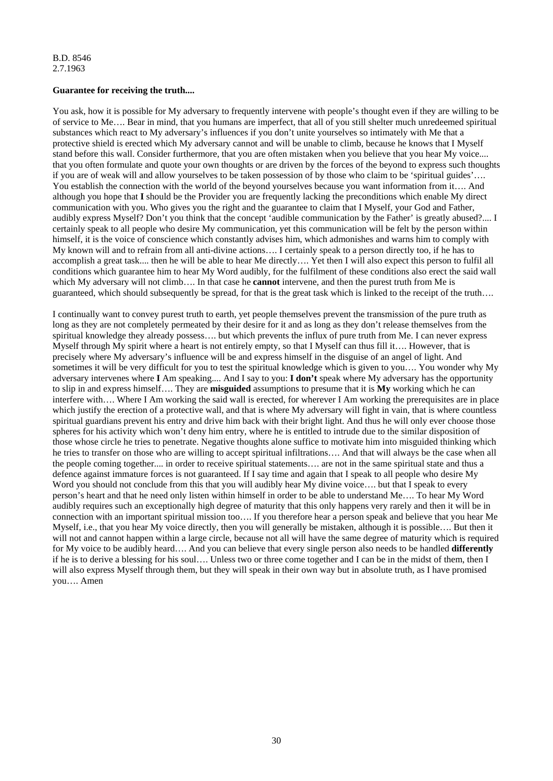#### **Guarantee for receiving the truth....**

You ask, how it is possible for My adversary to frequently intervene with people's thought even if they are willing to be of service to Me…. Bear in mind, that you humans are imperfect, that all of you still shelter much unredeemed spiritual substances which react to My adversary's influences if you don't unite yourselves so intimately with Me that a protective shield is erected which My adversary cannot and will be unable to climb, because he knows that I Myself stand before this wall. Consider furthermore, that you are often mistaken when you believe that you hear My voice.... that you often formulate and quote your own thoughts or are driven by the forces of the beyond to express such thoughts if you are of weak will and allow yourselves to be taken possession of by those who claim to be 'spiritual guides'…. You establish the connection with the world of the beyond yourselves because you want information from it…. And although you hope that **I** should be the Provider you are frequently lacking the preconditions which enable My direct communication with you. Who gives you the right and the guarantee to claim that I Myself, your God and Father, audibly express Myself? Don't you think that the concept 'audible communication by the Father' is greatly abused?.... I certainly speak to all people who desire My communication, yet this communication will be felt by the person within himself, it is the voice of conscience which constantly advises him, which admonishes and warns him to comply with My known will and to refrain from all anti-divine actions…. I certainly speak to a person directly too, if he has to accomplish a great task.... then he will be able to hear Me directly…. Yet then I will also expect this person to fulfil all conditions which guarantee him to hear My Word audibly, for the fulfilment of these conditions also erect the said wall which My adversary will not climb.... In that case he **cannot** intervene, and then the purest truth from Me is guaranteed, which should subsequently be spread, for that is the great task which is linked to the receipt of the truth….

I continually want to convey purest truth to earth, yet people themselves prevent the transmission of the pure truth as long as they are not completely permeated by their desire for it and as long as they don't release themselves from the spiritual knowledge they already possess…. but which prevents the influx of pure truth from Me. I can never express Myself through My spirit where a heart is not entirely empty, so that I Myself can thus fill it…. However, that is precisely where My adversary's influence will be and express himself in the disguise of an angel of light. And sometimes it will be very difficult for you to test the spiritual knowledge which is given to you…. You wonder why My adversary intervenes where **I** Am speaking.... And I say to you: **I don't** speak where My adversary has the opportunity to slip in and express himself…. They are **misguided** assumptions to presume that it is **My** working which he can interfere with…. Where I Am working the said wall is erected, for wherever I Am working the prerequisites are in place which justify the erection of a protective wall, and that is where My adversary will fight in vain, that is where countless spiritual guardians prevent his entry and drive him back with their bright light. And thus he will only ever choose those spheres for his activity which won't deny him entry, where he is entitled to intrude due to the similar disposition of those whose circle he tries to penetrate. Negative thoughts alone suffice to motivate him into misguided thinking which he tries to transfer on those who are willing to accept spiritual infiltrations…. And that will always be the case when all the people coming together.... in order to receive spiritual statements…. are not in the same spiritual state and thus a defence against immature forces is not guaranteed. If I say time and again that I speak to all people who desire My Word you should not conclude from this that you will audibly hear My divine voice.... but that I speak to every person's heart and that he need only listen within himself in order to be able to understand Me…. To hear My Word audibly requires such an exceptionally high degree of maturity that this only happens very rarely and then it will be in connection with an important spiritual mission too…. If you therefore hear a person speak and believe that you hear Me Myself, i.e., that you hear My voice directly, then you will generally be mistaken, although it is possible…. But then it will not and cannot happen within a large circle, because not all will have the same degree of maturity which is required for My voice to be audibly heard…. And you can believe that every single person also needs to be handled **differently**  if he is to derive a blessing for his soul…. Unless two or three come together and I can be in the midst of them, then I will also express Myself through them, but they will speak in their own way but in absolute truth, as I have promised you…. Amen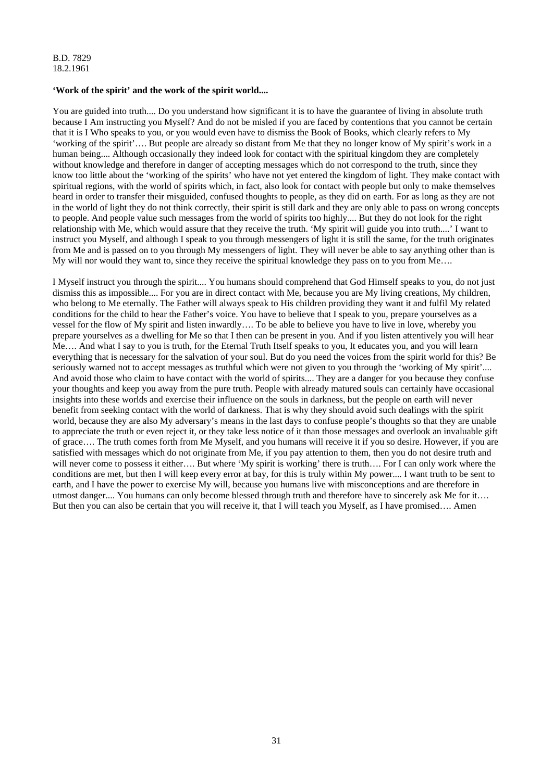#### **'Work of the spirit' and the work of the spirit world....**

You are guided into truth.... Do you understand how significant it is to have the guarantee of living in absolute truth because I Am instructing you Myself? And do not be misled if you are faced by contentions that you cannot be certain that it is I Who speaks to you, or you would even have to dismiss the Book of Books, which clearly refers to My 'working of the spirit'…. But people are already so distant from Me that they no longer know of My spirit's work in a human being.... Although occasionally they indeed look for contact with the spiritual kingdom they are completely without knowledge and therefore in danger of accepting messages which do not correspond to the truth, since they know too little about the 'working of the spirits' who have not yet entered the kingdom of light. They make contact with spiritual regions, with the world of spirits which, in fact, also look for contact with people but only to make themselves heard in order to transfer their misguided, confused thoughts to people, as they did on earth. For as long as they are not in the world of light they do not think correctly, their spirit is still dark and they are only able to pass on wrong concepts to people. And people value such messages from the world of spirits too highly.... But they do not look for the right relationship with Me, which would assure that they receive the truth. 'My spirit will guide you into truth....' I want to instruct you Myself, and although I speak to you through messengers of light it is still the same, for the truth originates from Me and is passed on to you through My messengers of light. They will never be able to say anything other than is My will nor would they want to, since they receive the spiritual knowledge they pass on to you from Me...

I Myself instruct you through the spirit.... You humans should comprehend that God Himself speaks to you, do not just dismiss this as impossible.... For you are in direct contact with Me, because you are My living creations, My children, who belong to Me eternally. The Father will always speak to His children providing they want it and fulfil My related conditions for the child to hear the Father's voice. You have to believe that I speak to you, prepare yourselves as a vessel for the flow of My spirit and listen inwardly…. To be able to believe you have to live in love, whereby you prepare yourselves as a dwelling for Me so that I then can be present in you. And if you listen attentively you will hear Me…. And what I say to you is truth, for the Eternal Truth Itself speaks to you, It educates you, and you will learn everything that is necessary for the salvation of your soul. But do you need the voices from the spirit world for this? Be seriously warned not to accept messages as truthful which were not given to you through the 'working of My spirit'.... And avoid those who claim to have contact with the world of spirits.... They are a danger for you because they confuse your thoughts and keep you away from the pure truth. People with already matured souls can certainly have occasional insights into these worlds and exercise their influence on the souls in darkness, but the people on earth will never benefit from seeking contact with the world of darkness. That is why they should avoid such dealings with the spirit world, because they are also My adversary's means in the last days to confuse people's thoughts so that they are unable to appreciate the truth or even reject it, or they take less notice of it than those messages and overlook an invaluable gift of grace…. The truth comes forth from Me Myself, and you humans will receive it if you so desire. However, if you are satisfied with messages which do not originate from Me, if you pay attention to them, then you do not desire truth and will never come to possess it either…. But where 'My spirit is working' there is truth…. For I can only work where the conditions are met, but then I will keep every error at bay, for this is truly within My power.... I want truth to be sent to earth, and I have the power to exercise My will, because you humans live with misconceptions and are therefore in utmost danger.... You humans can only become blessed through truth and therefore have to sincerely ask Me for it…. But then you can also be certain that you will receive it, that I will teach you Myself, as I have promised…. Amen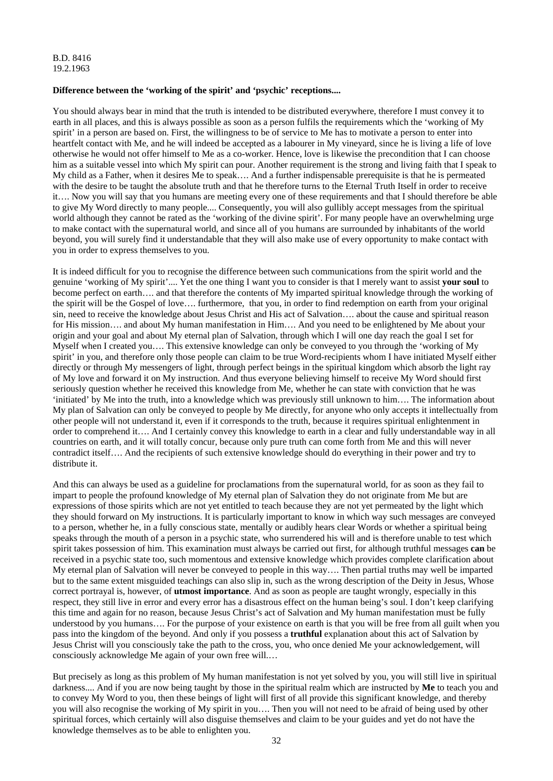# **Difference between the 'working of the spirit' and 'psychic' receptions....**

You should always bear in mind that the truth is intended to be distributed everywhere, therefore I must convey it to earth in all places, and this is always possible as soon as a person fulfils the requirements which the 'working of My spirit' in a person are based on. First, the willingness to be of service to Me has to motivate a person to enter into heartfelt contact with Me, and he will indeed be accepted as a labourer in My vineyard, since he is living a life of love otherwise he would not offer himself to Me as a co-worker. Hence, love is likewise the precondition that I can choose him as a suitable vessel into which My spirit can pour. Another requirement is the strong and living faith that I speak to My child as a Father, when it desires Me to speak…. And a further indispensable prerequisite is that he is permeated with the desire to be taught the absolute truth and that he therefore turns to the Eternal Truth Itself in order to receive it…. Now you will say that you humans are meeting every one of these requirements and that I should therefore be able to give My Word directly to many people.... Consequently, you will also gullibly accept messages from the spiritual world although they cannot be rated as the 'working of the divine spirit'. For many people have an overwhelming urge to make contact with the supernatural world, and since all of you humans are surrounded by inhabitants of the world beyond, you will surely find it understandable that they will also make use of every opportunity to make contact with you in order to express themselves to you.

It is indeed difficult for you to recognise the difference between such communications from the spirit world and the genuine 'working of My spirit'.... Yet the one thing I want you to consider is that I merely want to assist **your soul** to become perfect on earth…. and that therefore the contents of My imparted spiritual knowledge through the working of the spirit will be the Gospel of love…. furthermore, that you, in order to find redemption on earth from your original sin, need to receive the knowledge about Jesus Christ and His act of Salvation…. about the cause and spiritual reason for His mission…. and about My human manifestation in Him…. And you need to be enlightened by Me about your origin and your goal and about My eternal plan of Salvation, through which I will one day reach the goal I set for Myself when I created you…. This extensive knowledge can only be conveyed to you through the 'working of My spirit' in you, and therefore only those people can claim to be true Word-recipients whom I have initiated Myself either directly or through My messengers of light, through perfect beings in the spiritual kingdom which absorb the light ray of My love and forward it on My instruction. And thus everyone believing himself to receive My Word should first seriously question whether he received this knowledge from Me, whether he can state with conviction that he was 'initiated' by Me into the truth, into a knowledge which was previously still unknown to him…. The information about My plan of Salvation can only be conveyed to people by Me directly, for anyone who only accepts it intellectually from other people will not understand it, even if it corresponds to the truth, because it requires spiritual enlightenment in order to comprehend it…. And I certainly convey this knowledge to earth in a clear and fully understandable way in all countries on earth, and it will totally concur, because only pure truth can come forth from Me and this will never contradict itself…. And the recipients of such extensive knowledge should do everything in their power and try to distribute it.

And this can always be used as a guideline for proclamations from the supernatural world, for as soon as they fail to impart to people the profound knowledge of My eternal plan of Salvation they do not originate from Me but are expressions of those spirits which are not yet entitled to teach because they are not yet permeated by the light which they should forward on My instructions. It is particularly important to know in which way such messages are conveyed to a person, whether he, in a fully conscious state, mentally or audibly hears clear Words or whether a spiritual being speaks through the mouth of a person in a psychic state, who surrendered his will and is therefore unable to test which spirit takes possession of him. This examination must always be carried out first, for although truthful messages **can** be received in a psychic state too, such momentous and extensive knowledge which provides complete clarification about My eternal plan of Salvation will never be conveyed to people in this way…. Then partial truths may well be imparted but to the same extent misguided teachings can also slip in, such as the wrong description of the Deity in Jesus, Whose correct portrayal is, however, of **utmost importance**. And as soon as people are taught wrongly, especially in this respect, they still live in error and every error has a disastrous effect on the human being's soul. I don't keep clarifying this time and again for no reason, because Jesus Christ's act of Salvation and My human manifestation must be fully understood by you humans…. For the purpose of your existence on earth is that you will be free from all guilt when you pass into the kingdom of the beyond. And only if you possess a **truthful** explanation about this act of Salvation by Jesus Christ will you consciously take the path to the cross, you, who once denied Me your acknowledgement, will consciously acknowledge Me again of your own free will.…

But precisely as long as this problem of My human manifestation is not yet solved by you, you will still live in spiritual darkness.... And if you are now being taught by those in the spiritual realm which are instructed by **Me** to teach you and to convey My Word to you, then these beings of light will first of all provide this significant knowledge, and thereby you will also recognise the working of My spirit in you…. Then you will not need to be afraid of being used by other spiritual forces, which certainly will also disguise themselves and claim to be your guides and yet do not have the knowledge themselves as to be able to enlighten you.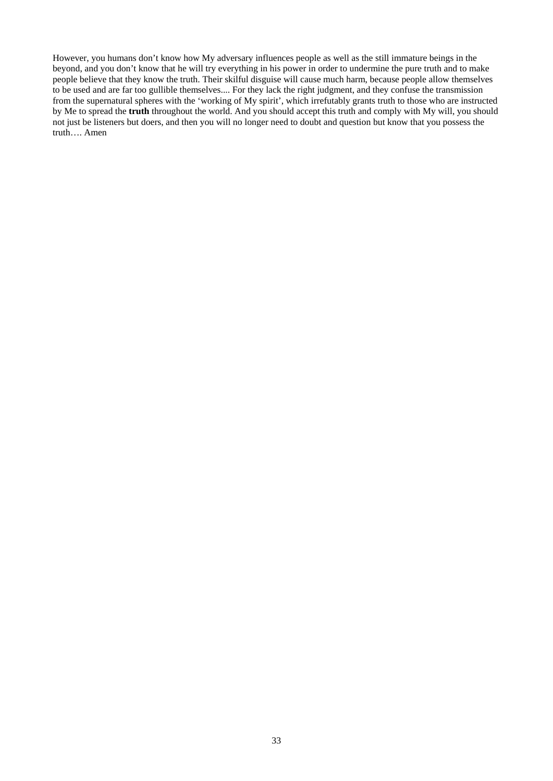However, you humans don't know how My adversary influences people as well as the still immature beings in the beyond, and you don't know that he will try everything in his power in order to undermine the pure truth and to make people believe that they know the truth. Their skilful disguise will cause much harm, because people allow themselves to be used and are far too gullible themselves.... For they lack the right judgment, and they confuse the transmission from the supernatural spheres with the 'working of My spirit', which irrefutably grants truth to those who are instructed by Me to spread the **truth** throughout the world. And you should accept this truth and comply with My will, you should not just be listeners but doers, and then you will no longer need to doubt and question but know that you possess the truth…. Amen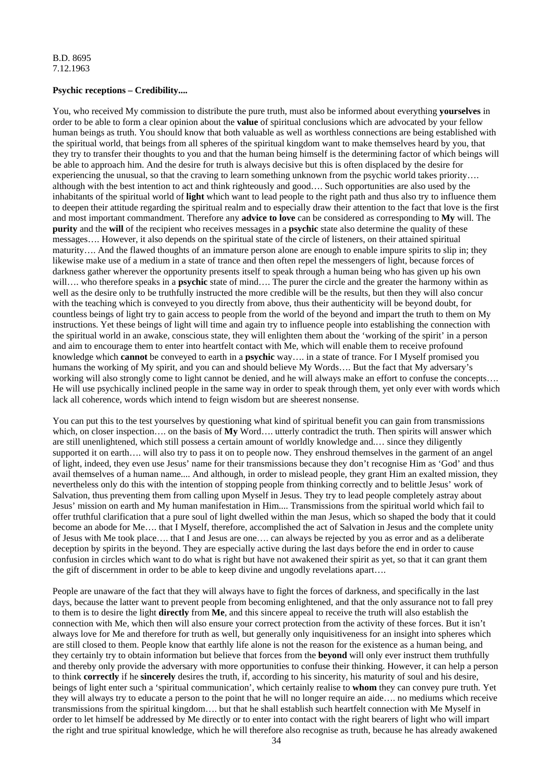# **Psychic receptions – Credibility....**

You, who received My commission to distribute the pure truth, must also be informed about everything **yourselves** in order to be able to form a clear opinion about the **value** of spiritual conclusions which are advocated by your fellow human beings as truth. You should know that both valuable as well as worthless connections are being established with the spiritual world, that beings from all spheres of the spiritual kingdom want to make themselves heard by you, that they try to transfer their thoughts to you and that the human being himself is the determining factor of which beings will be able to approach him. And the desire for truth is always decisive but this is often displaced by the desire for experiencing the unusual, so that the craving to learn something unknown from the psychic world takes priority…. although with the best intention to act and think righteously and good…. Such opportunities are also used by the inhabitants of the spiritual world of **light** which want to lead people to the right path and thus also try to influence them to deepen their attitude regarding the spiritual realm and to especially draw their attention to the fact that love is the first and most important commandment. Therefore any **advice to love** can be considered as corresponding to **My** will. The **purity** and the **will** of the recipient who receives messages in a **psychic** state also determine the quality of these messages…. However, it also depends on the spiritual state of the circle of listeners, on their attained spiritual maturity…. And the flawed thoughts of an immature person alone are enough to enable impure spirits to slip in; they likewise make use of a medium in a state of trance and then often repel the messengers of light, because forces of darkness gather wherever the opportunity presents itself to speak through a human being who has given up his own will…. who therefore speaks in a **psychic** state of mind…. The purer the circle and the greater the harmony within as well as the desire only to be truthfully instructed the more credible will be the results, but then they will also concur with the teaching which is conveyed to you directly from above, thus their authenticity will be beyond doubt, for countless beings of light try to gain access to people from the world of the beyond and impart the truth to them on My instructions. Yet these beings of light will time and again try to influence people into establishing the connection with the spiritual world in an awake, conscious state, they will enlighten them about the 'working of the spirit' in a person and aim to encourage them to enter into heartfelt contact with Me, which will enable them to receive profound knowledge which **cannot** be conveyed to earth in a **psychic** way…. in a state of trance. For I Myself promised you humans the working of My spirit, and you can and should believe My Words…. But the fact that My adversary's working will also strongly come to light cannot be denied, and he will always make an effort to confuse the concepts.... He will use psychically inclined people in the same way in order to speak through them, yet only ever with words which lack all coherence, words which intend to feign wisdom but are sheerest nonsense.

You can put this to the test yourselves by questioning what kind of spiritual benefit you can gain from transmissions which, on closer inspection.... on the basis of **My** Word.... utterly contradict the truth. Then spirits will answer which are still unenlightened, which still possess a certain amount of worldly knowledge and.… since they diligently supported it on earth…. will also try to pass it on to people now. They enshroud themselves in the garment of an angel of light, indeed, they even use Jesus' name for their transmissions because they don't recognise Him as 'God' and thus avail themselves of a human name.... And although, in order to mislead people, they grant Him an exalted mission, they nevertheless only do this with the intention of stopping people from thinking correctly and to belittle Jesus' work of Salvation, thus preventing them from calling upon Myself in Jesus. They try to lead people completely astray about Jesus' mission on earth and My human manifestation in Him.... Transmissions from the spiritual world which fail to offer truthful clarification that a pure soul of light dwelled within the man Jesus, which so shaped the body that it could become an abode for Me…. that I Myself, therefore, accomplished the act of Salvation in Jesus and the complete unity of Jesus with Me took place…. that I and Jesus are one…. can always be rejected by you as error and as a deliberate deception by spirits in the beyond. They are especially active during the last days before the end in order to cause confusion in circles which want to do what is right but have not awakened their spirit as yet, so that it can grant them the gift of discernment in order to be able to keep divine and ungodly revelations apart….

People are unaware of the fact that they will always have to fight the forces of darkness, and specifically in the last days, because the latter want to prevent people from becoming enlightened, and that the only assurance not to fall prey to them is to desire the light **directly** from **Me**, and this sincere appeal to receive the truth will also establish the connection with Me, which then will also ensure your correct protection from the activity of these forces. But it isn't always love for Me and therefore for truth as well, but generally only inquisitiveness for an insight into spheres which are still closed to them. People know that earthly life alone is not the reason for the existence as a human being, and they certainly try to obtain information but believe that forces from the **beyond** will only ever instruct them truthfully and thereby only provide the adversary with more opportunities to confuse their thinking. However, it can help a person to think **correctly** if he **sincerely** desires the truth, if, according to his sincerity, his maturity of soul and his desire, beings of light enter such a 'spiritual communication', which certainly realise to **whom** they can convey pure truth. Yet they will always try to educate a person to the point that he will no longer require an aide…. no mediums which receive transmissions from the spiritual kingdom…. but that he shall establish such heartfelt connection with Me Myself in order to let himself be addressed by Me directly or to enter into contact with the right bearers of light who will impart the right and true spiritual knowledge, which he will therefore also recognise as truth, because he has already awakened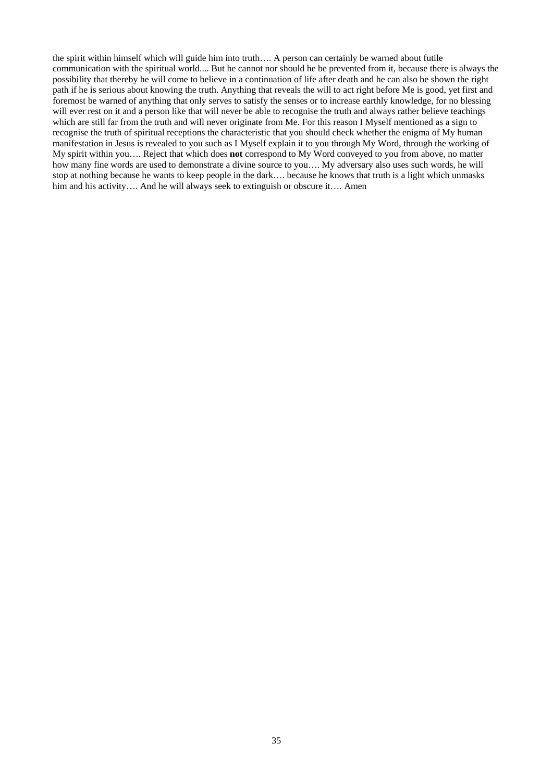the spirit within himself which will guide him into truth…. A person can certainly be warned about futile communication with the spiritual world.... But he cannot nor should he be prevented from it, because there is always the possibility that thereby he will come to believe in a continuation of life after death and he can also be shown the right path if he is serious about knowing the truth. Anything that reveals the will to act right before Me is good, yet first and foremost be warned of anything that only serves to satisfy the senses or to increase earthly knowledge, for no blessing will ever rest on it and a person like that will never be able to recognise the truth and always rather believe teachings which are still far from the truth and will never originate from Me. For this reason I Myself mentioned as a sign to recognise the truth of spiritual receptions the characteristic that you should check whether the enigma of My human manifestation in Jesus is revealed to you such as I Myself explain it to you through My Word, through the working of My spirit within you…. Reject that which does **not** correspond to My Word conveyed to you from above, no matter how many fine words are used to demonstrate a divine source to you…. My adversary also uses such words, he will stop at nothing because he wants to keep people in the dark…. because he knows that truth is a light which unmasks him and his activity…. And he will always seek to extinguish or obscure it…. Amen